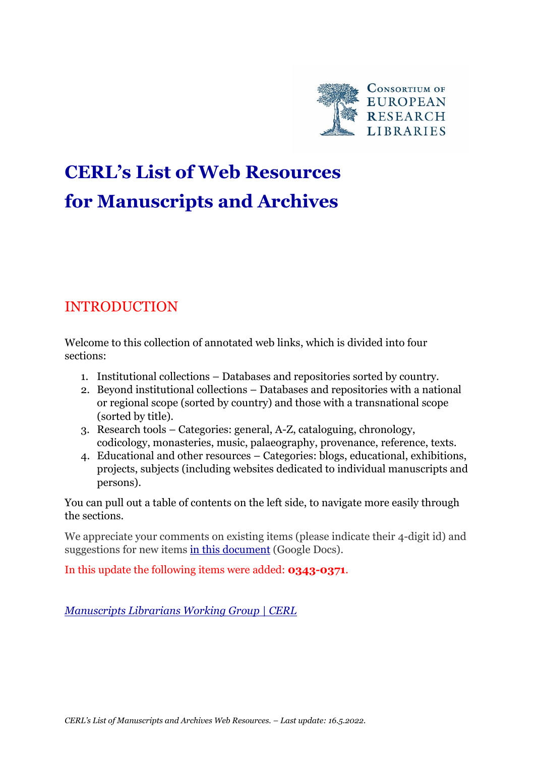

# **CERL's List of Web Resources for Manuscripts and Archives**

## INTRODUCTION

Welcome to this collection of annotated web links, which is divided into four sections:

- 1. Institutional collections Databases and repositories sorted by country.
- 2. Beyond institutional collections Databases and repositories with a national or regional scope (sorted by country) and those with a transnational scope (sorted by title).
- 3. Research tools Categories: general, A-Z, cataloguing, chronology, codicology, monasteries, music, palaeography, provenance, reference, texts.
- 4. Educational and other resources Categories: blogs, educational, exhibitions, projects, subjects (including websites dedicated to individual manuscripts and persons).

You can pull out a table of contents on the left side, to navigate more easily through the sections.

We appreciate your comments on existing items (please indicate their 4-digit id) and suggestions for new items [in this document](https://docs.google.com/spreadsheets/d/1g7WAr7rYC_2DmRZp6wMvOqWUwJCNWSQuaLgcECGWa9s/edit?usp=sharing) (Google Docs).

In this update the following items were added: **0343-0371**.

*[Manuscripts Librarians Working Group | CERL](https://www.cerl.org/collaboration/manuscriptexperts/main)*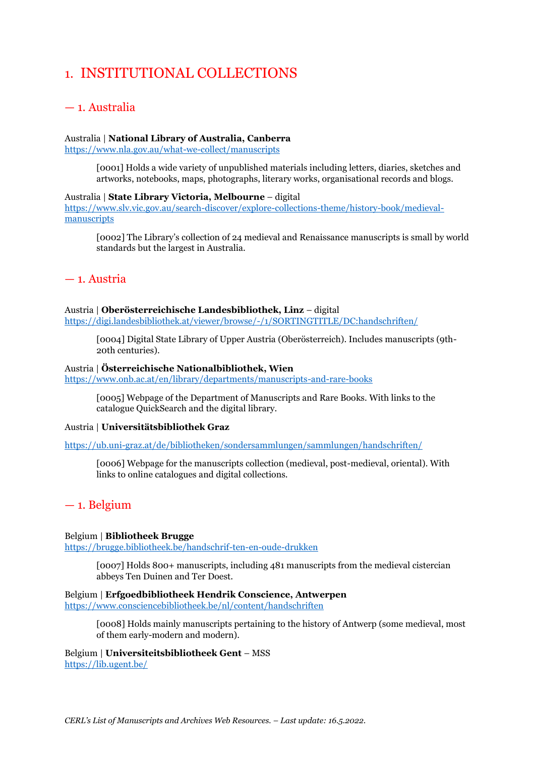## 1. INSTITUTIONAL COLLECTIONS

## — 1. Australia

## Australia | **National Library of Australia, Canberra**

<https://www.nla.gov.au/what-we-collect/manuscripts>

[0001] Holds a wide variety of unpublished materials including letters, diaries, sketches and artworks, notebooks, maps, photographs, literary works, organisational records and blogs.

### Australia | **State Library Victoria, Melbourne** – digital

[https://www.slv.vic.gov.au/search-discover/explore-collections-theme/history-book/medieval](https://www.slv.vic.gov.au/search-discover/explore-collections-theme/history-book/medieval-manuscripts)[manuscripts](https://www.slv.vic.gov.au/search-discover/explore-collections-theme/history-book/medieval-manuscripts)

[0002] The Library's collection of 24 medieval and Renaissance manuscripts is small by world standards but the largest in Australia.

## — 1. Austria

## Austria | **Oberösterreichische Landesbibliothek, Linz** – digital

<https://digi.landesbibliothek.at/viewer/browse/-/1/SORTINGTITLE/DC:handschriften/>

[0004] Digital State Library of Upper Austria (Oberösterreich). Includes manuscripts (9th-20th centuries).

### Austria | **Österreichische Nationalbibliothek, Wien**

<https://www.onb.ac.at/en/library/departments/manuscripts-and-rare-books>

[0005] Webpage of the Department of Manuscripts and Rare Books. With links to the catalogue QuickSearch and the digital library.

## Austria | **Universitätsbibliothek Graz**

<https://ub.uni-graz.at/de/bibliotheken/sondersammlungen/sammlungen/handschriften/>

[0006] Webpage for the manuscripts collection (medieval, post-medieval, oriental). With links to online catalogues and digital collections.

## — 1. Belgium

## Belgium | **Bibliotheek Brugge**

<https://brugge.bibliotheek.be/handschrif-ten-en-oude-drukken>

[0007] Holds 800+ manuscripts, including 481 manuscripts from the medieval cistercian abbeys Ten Duinen and Ter Doest.

Belgium | **Erfgoedbibliotheek Hendrik Conscience, Antwerpen** <https://www.consciencebibliotheek.be/nl/content/handschriften>

> [0008] Holds mainly manuscripts pertaining to the history of Antwerp (some medieval, most of them early-modern and modern).

Belgium | **Universiteitsbibliotheek Gent** – MSS <https://lib.ugent.be/>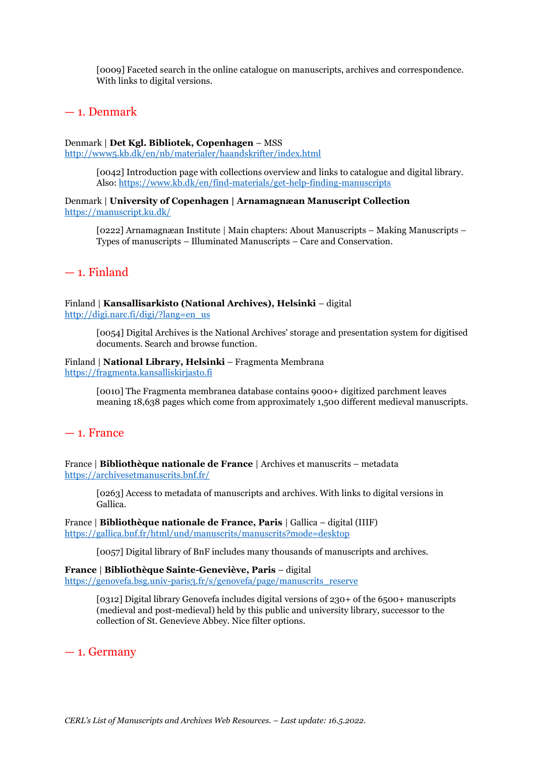[0009] Faceted search in the online catalogue on manuscripts, archives and correspondence. With links to digital versions.

## — 1. Denmark

#### Denmark | **Det Kgl. Bibliotek, Copenhagen** – MSS <http://www5.kb.dk/en/nb/materialer/haandskrifter/index.html>

[0042] Introduction page with collections overview and links to catalogue and digital library. Also:<https://www.kb.dk/en/find-materials/get-help-finding-manuscripts>

Denmark | **University of Copenhagen | Arnamagnæan Manuscript Collection** <https://manuscript.ku.dk/>

[0222] Arnamagnæan Institute | Main chapters: About Manuscripts – Making Manuscripts – Types of manuscripts – Illuminated Manuscripts – Care and Conservation.

## — 1. Finland

#### Finland | **Kansallisarkisto (National Archives), Helsinki** – digital [http://digi.narc.fi/digi/?lang=en\\_us](http://digi.narc.fi/digi/?lang=en_us)

[0054] Digital Archives is the National Archives' storage and presentation system for digitised documents. Search and browse function.

## Finland | **National Library, Helsinki** – Fragmenta Membrana

[https://fragmenta.kansalliskirjasto.fi](https://fragmenta.kansalliskirjasto.fi/)

[0010] The Fragmenta membranea database contains 9000+ digitized parchment leaves meaning 18,638 pages which come from approximately 1,500 different medieval manuscripts.

## — 1. France

France | **Bibliothèque nationale de France** | Archives et manuscrits – metadata <https://archivesetmanuscrits.bnf.fr/>

[0263] Access to metadata of manuscripts and archives. With links to digital versions in Gallica.

France | **Bibliothèque nationale de France, Paris** | Gallica – digital (IIIF) <https://gallica.bnf.fr/html/und/manuscrits/manuscrits?mode=desktop>

[0057] Digital library of BnF includes many thousands of manuscripts and archives.

**France** | **Bibliothèque Sainte-Geneviève, Paris** – digital [https://genovefa.bsg.univ-paris3.fr/s/genovefa/page/manuscrits\\_reserve](https://genovefa.bsg.univ-paris3.fr/s/genovefa/page/manuscrits_reserve)

> [0312] Digital library Genovefa includes digital versions of 230+ of the 6500+ manuscripts (medieval and post-medieval) held by this public and university library, successor to the collection of St. Genevieve Abbey. Nice filter options.

## — 1. Germany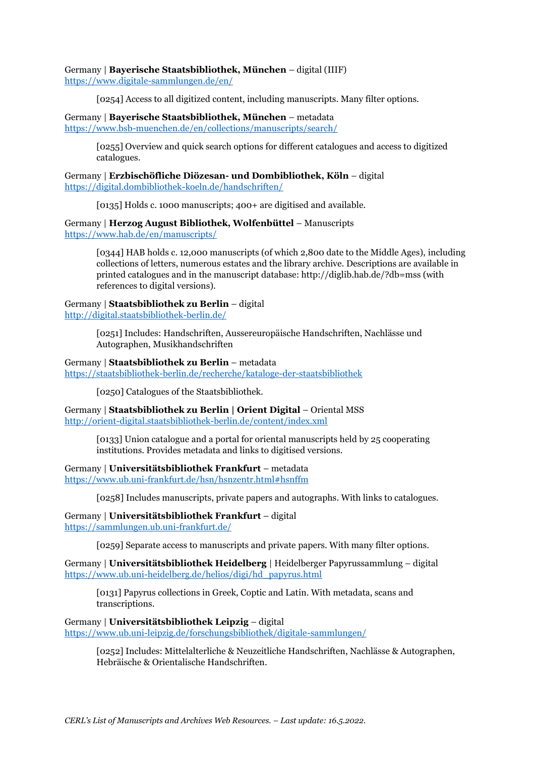## Germany | **Bayerische Staatsbibliothek, München** – digital (IIIF)

<https://www.digitale-sammlungen.de/en/>

[0254] Access to all digitized content, including manuscripts. Many filter options.

## Germany | **Bayerische Staatsbibliothek, München** – metadata <https://www.bsb-muenchen.de/en/collections/manuscripts/search/>

[0255] Overview and quick search options for different catalogues and access to digitized catalogues.

### Germany | **Erzbischöfliche Diözesan- und Dombibliothek, Köln** – digital <https://digital.dombibliothek-koeln.de/handschriften/>

[0135] Holds c. 1000 manuscripts; 400+ are digitised and available.

Germany | **Herzog August Bibliothek, Wolfenbüttel** – Manuscripts <https://www.hab.de/en/manuscripts/>

> [0344] HAB holds c. 12,000 manuscripts (of which 2,800 date to the Middle Ages), including collections of letters, numerous estates and the library archive. Descriptions are available in printed catalogues and in the manuscript database: http://diglib.hab.de/?db=mss (with references to digital versions).

#### Germany | **Staatsbibliothek zu Berlin** – digital <http://digital.staatsbibliothek-berlin.de/>

[0251] Includes: Handschriften, Aussereuropäische Handschriften, Nachlässe und Autographen, Musikhandschriften

## Germany | **Staatsbibliothek zu Berlin** – metadata

<https://staatsbibliothek-berlin.de/recherche/kataloge-der-staatsbibliothek>

[0250] Catalogues of the Staatsbibliothek.

Germany | **Staatsbibliothek zu Berlin | Orient Digital** – Oriental MSS <http://orient-digital.staatsbibliothek-berlin.de/content/index.xml>

> [0133] Union catalogue and a portal for oriental manuscripts held by 25 cooperating institutions. Provides metadata and links to digitised versions.

## Germany | **Universitätsbibliothek Frankfurt** – metadata

<https://www.ub.uni-frankfurt.de/hsn/hsnzentr.html#hsnffm>

[0258] Includes manuscripts, private papers and autographs. With links to catalogues.

Germany | **Universitätsbibliothek Frankfurt** – digital <https://sammlungen.ub.uni-frankfurt.de/>

[0259] Separate access to manuscripts and private papers. With many filter options.

Germany | **Universitätsbibliothek Heidelberg** | Heidelberger Papyrussammlung – digital [https://www.ub.uni-heidelberg.de/helios/digi/hd\\_papyrus.html](https://www.ub.uni-heidelberg.de/helios/digi/hd_papyrus.html)

[0131] Papyrus collections in Greek, Coptic and Latin. With metadata, scans and transcriptions.

## Germany | **Universitätsbibliothek Leipzig** – digital

<https://www.ub.uni-leipzig.de/forschungsbibliothek/digitale-sammlungen/>

[0252] Includes: Mittelalterliche & Neuzeitliche Handschriften, Nachlässe & Autographen, Hebräische & Orientalische Handschriften.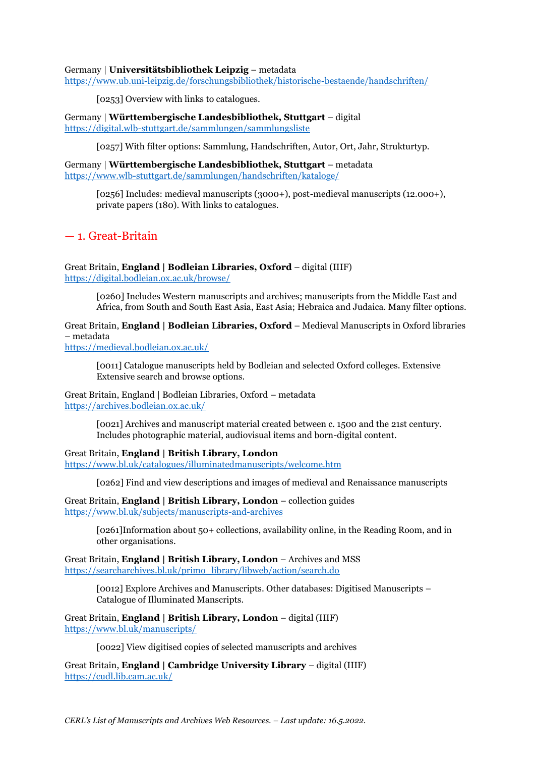### Germany | **Universitätsbibliothek Leipzig** – metadata

<https://www.ub.uni-leipzig.de/forschungsbibliothek/historische-bestaende/handschriften/>

[0253] Overview with links to catalogues.

Germany | **Württembergische Landesbibliothek, Stuttgart** – digital <https://digital.wlb-stuttgart.de/sammlungen/sammlungsliste>

[0257] With filter options: Sammlung, Handschriften, Autor, Ort, Jahr, Strukturtyp.

Germany | **Württembergische Landesbibliothek, Stuttgart** – metadata <https://www.wlb-stuttgart.de/sammlungen/handschriften/kataloge/>

> [0256] Includes: medieval manuscripts (3000+), post-medieval manuscripts (12.000+), private papers (180). With links to catalogues.

## — 1. Great-Britain

Great Britain, **England | Bodleian Libraries, Oxford** – digital (IIIF) <https://digital.bodleian.ox.ac.uk/browse/>

> [0260] Includes Western manuscripts and archives; manuscripts from the Middle East and Africa, from South and South East Asia, East Asia; Hebraica and Judaica. Many filter options.

Great Britain, **England | Bodleian Libraries, Oxford** – Medieval Manuscripts in Oxford libraries – metadata

<https://medieval.bodleian.ox.ac.uk/>

[0011] Catalogue manuscripts held by Bodleian and selected Oxford colleges. Extensive Extensive search and browse options.

Great Britain, England | Bodleian Libraries, Oxford – metadata <https://archives.bodleian.ox.ac.uk/>

> [0021] Archives and manuscript material created between c. 1500 and the 21st century. Includes photographic material, audiovisual items and born-digital content.

Great Britain, **England | British Library, London**

<https://www.bl.uk/catalogues/illuminatedmanuscripts/welcome.htm>

[0262] Find and view descriptions and images of medieval and Renaissance manuscripts

Great Britain, **England | British Library, London** – collection guides <https://www.bl.uk/subjects/manuscripts-and-archives>

> [0261]Information about 50+ collections, availability online, in the Reading Room, and in other organisations.

Great Britain, **England | British Library, London** – Archives and MSS [https://searcharchives.bl.uk/primo\\_library/libweb/action/search.do](https://searcharchives.bl.uk/primo_library/libweb/action/search.do)

> [0012] Explore Archives and Manuscripts. Other databases: Digitised Manuscripts – Catalogue of Illuminated Manscripts.

Great Britain, **England | British Library, London** – digital (IIIF) <https://www.bl.uk/manuscripts/>

[0022] View digitised copies of selected manuscripts and archives

Great Britain, **England | Cambridge University Library** – digital (IIIF) <https://cudl.lib.cam.ac.uk/>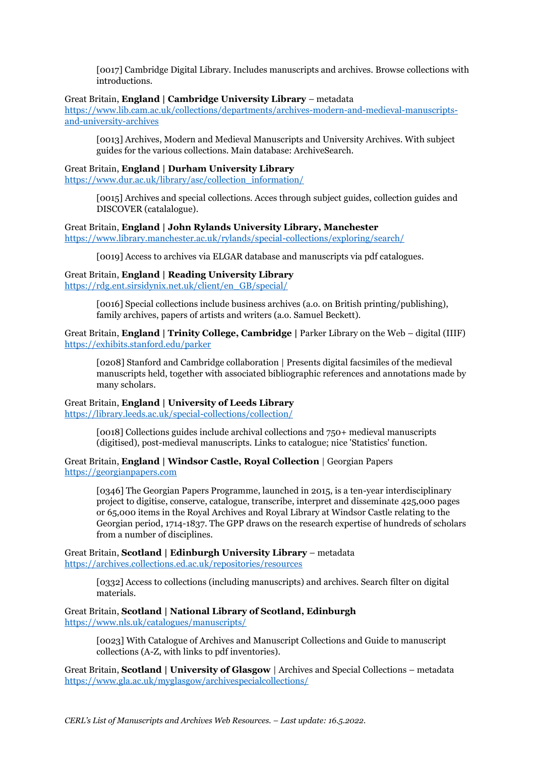[0017] Cambridge Digital Library. Includes manuscripts and archives. Browse collections with introductions.

#### Great Britain, **England | Cambridge University Library** – metadata

[https://www.lib.cam.ac.uk/collections/departments/archives-modern-and-medieval-manuscripts](https://www.lib.cam.ac.uk/collections/departments/archives-modern-and-medieval-manuscripts-and-university-archives)[and-university-archives](https://www.lib.cam.ac.uk/collections/departments/archives-modern-and-medieval-manuscripts-and-university-archives)

[0013] Archives, Modern and Medieval Manuscripts and University Archives. With subject guides for the various collections. Main database: ArchiveSearch.

#### Great Britain, **England | Durham University Library**

[https://www.dur.ac.uk/library/asc/collection\\_information/](https://www.dur.ac.uk/library/asc/collection_information/)

[0015] Archives and special collections. Acces through subject guides, collection guides and DISCOVER (catalalogue).

#### Great Britain, **England | John Rylands University Library, Manchester**

<https://www.library.manchester.ac.uk/rylands/special-collections/exploring/search/>

[0019] Access to archives via ELGAR database and manuscripts via pdf catalogues.

### Great Britain, **England | Reading University Library**

[https://rdg.ent.sirsidynix.net.uk/client/en\\_GB/special/](https://rdg.ent.sirsidynix.net.uk/client/en_GB/special/)

[0016] Special collections include business archives (a.o. on British printing/publishing), family archives, papers of artists and writers (a.o. Samuel Beckett).

Great Britain, **England | Trinity College, Cambridge |** Parker Library on the Web – digital (IIIF) <https://exhibits.stanford.edu/parker>

[0208] Stanford and Cambridge collaboration | Presents digital facsimiles of the medieval manuscripts held, together with associated bibliographic references and annotations made by many scholars.

## Great Britain, **England | University of Leeds Library**

<https://library.leeds.ac.uk/special-collections/collection/>

[0018] Collections guides include archival collections and 750+ medieval manuscripts (digitised), post-medieval manuscripts. Links to catalogue; nice 'Statistics' function.

### Great Britain, **England | Windsor Castle, Royal Collection** | Georgian Papers [https://georgianpapers.com](https://georgianpapers.com/)

[0346] The Georgian Papers Programme, launched in 2015, is a ten-year interdisciplinary project to digitise, conserve, catalogue, transcribe, interpret and disseminate 425,000 pages or 65,000 items in the Royal Archives and Royal Library at Windsor Castle relating to the Georgian period, 1714-1837. The GPP draws on the research expertise of hundreds of scholars from a number of disciplines.

Great Britain, **Scotland | Edinburgh University Library** – metadata <https://archives.collections.ed.ac.uk/repositories/resources>

> [0332] Access to collections (including manuscripts) and archives. Search filter on digital materials.

Great Britain, **Scotland | National Library of Scotland, Edinburgh** <https://www.nls.uk/catalogues/manuscripts/>

> [0023] With Catalogue of Archives and Manuscript Collections and Guide to manuscript collections (A-Z, with links to pdf inventories).

Great Britain, **Scotland | University of Glasgow** | Archives and Special Collections – metadata <https://www.gla.ac.uk/myglasgow/archivespecialcollections/>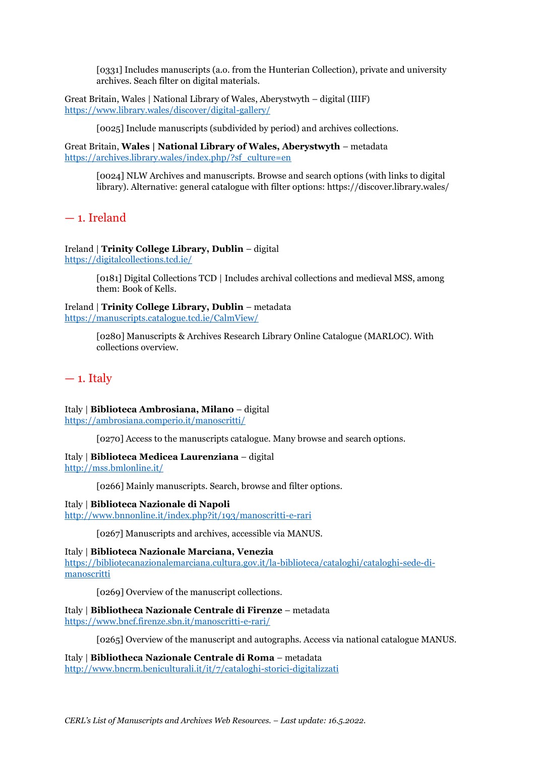[0331] Includes manuscripts (a.o. from the Hunterian Collection), private and university archives. Seach filter on digital materials.

Great Britain, Wales | National Library of Wales, Aberystwyth – digital (IIIF) <https://www.library.wales/discover/digital-gallery/>

[0025] Include manuscripts (subdivided by period) and archives collections.

Great Britain, **Wales | National Library of Wales, Aberystwyth** – metadata [https://archives.library.wales/index.php/?sf\\_culture=en](https://archives.library.wales/index.php/?sf_culture=en)

[0024] NLW Archives and manuscripts. Browse and search options (with links to digital library). Alternative: general catalogue with filter options: https://discover.library.wales/

— 1. Ireland

Ireland | **Trinity College Library, Dublin** – digital <https://digitalcollections.tcd.ie/>

> [0181] Digital Collections TCD | Includes archival collections and medieval MSS, among them: Book of Kells.

Ireland | **Trinity College Library, Dublin** – metadata <https://manuscripts.catalogue.tcd.ie/CalmView/>

> [0280] Manuscripts & Archives Research Library Online Catalogue (MARLOC). With collections overview.

## $-1.$  Italy

Italy | **Biblioteca Ambrosiana, Milano** – digital

<https://ambrosiana.comperio.it/manoscritti/>

[0270] Access to the manuscripts catalogue. Many browse and search options.

Italy | **Biblioteca Medicea Laurenziana** – digital

<http://mss.bmlonline.it/>

[0266] Mainly manuscripts. Search, browse and filter options.

Italy | **Biblioteca Nazionale di Napoli**

<http://www.bnnonline.it/index.php?it/193/manoscritti-e-rari>

[0267] Manuscripts and archives, accessible via MANUS.

Italy | **Biblioteca Nazionale Marciana, Venezia**

[https://bibliotecanazionalemarciana.cultura.gov.it/la-biblioteca/cataloghi/cataloghi-sede-di](https://bibliotecanazionalemarciana.cultura.gov.it/la-biblioteca/cataloghi/cataloghi-sede-di-manoscritti)[manoscritti](https://bibliotecanazionalemarciana.cultura.gov.it/la-biblioteca/cataloghi/cataloghi-sede-di-manoscritti)

[0269] Overview of the manuscript collections.

Italy | **Bibliotheca Nazionale Centrale di Firenze** – metadata

<https://www.bncf.firenze.sbn.it/manoscritti-e-rari/>

[0265] Overview of the manuscript and autographs. Access via national catalogue MANUS.

Italy | **Bibliotheca Nazionale Centrale di Roma** – metadata

<http://www.bncrm.beniculturali.it/it/7/cataloghi-storici-digitalizzati>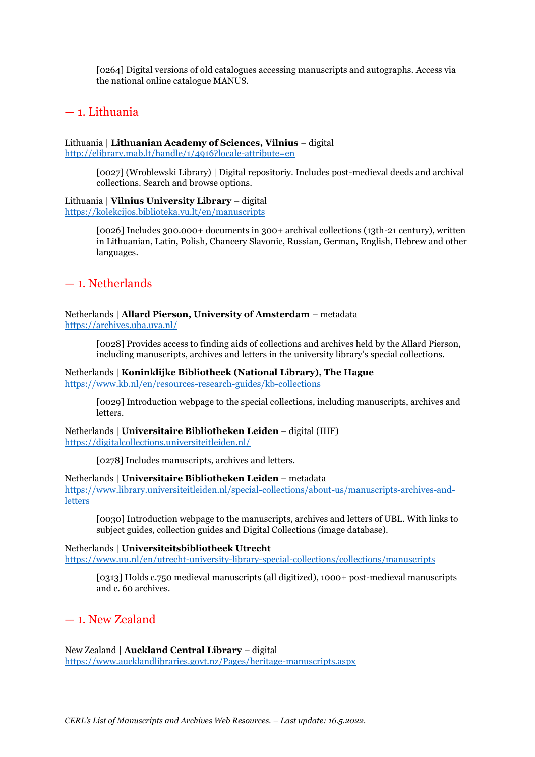[0264] Digital versions of old catalogues accessing manuscripts and autographs. Access via the national online catalogue MANUS.

## — 1. Lithuania

Lithuania | **Lithuanian Academy of Sciences, Vilnius** – digital <http://elibrary.mab.lt/handle/1/4916?locale-attribute=en>

> [0027] (Wroblewski Library) | Digital repositoriy. Includes post-medieval deeds and archival collections. Search and browse options.

Lithuania | **Vilnius University Library** – digital <https://kolekcijos.biblioteka.vu.lt/en/manuscripts>

> [0026] Includes 300.000+ documents in 300+ archival collections (13th-21 century), written in Lithuanian, Latin, Polish, Chancery Slavonic, Russian, German, English, Hebrew and other languages.

## — 1. Netherlands

## Netherlands | **Allard Pierson, University of Amsterdam** – metadata

<https://archives.uba.uva.nl/>

[0028] Provides access to finding aids of collections and archives held by the Allard Pierson, including manuscripts, archives and letters in the university library's special collections.

#### Netherlands | **Koninklijke Bibliotheek (National Library), The Hague** <https://www.kb.nl/en/resources-research-guides/kb-collections>

[0029] Introduction webpage to the special collections, including manuscripts, archives and letters.

Netherlands | **Universitaire Bibliotheken Leiden** – digital (IIIF) <https://digitalcollections.universiteitleiden.nl/>

[0278] Includes manuscripts, archives and letters.

#### Netherlands | **Universitaire Bibliotheken Leiden** – metadata

[https://www.library.universiteitleiden.nl/special-collections/about-us/manuscripts-archives-and](https://www.library.universiteitleiden.nl/special-collections/about-us/manuscripts-archives-and-letters)[letters](https://www.library.universiteitleiden.nl/special-collections/about-us/manuscripts-archives-and-letters)

[0030] Introduction webpage to the manuscripts, archives and letters of UBL. With links to subject guides, collection guides and Digital Collections (image database).

### Netherlands | **Universiteitsbibliotheek Utrecht**

<https://www.uu.nl/en/utrecht-university-library-special-collections/collections/manuscripts>

[0313] Holds c.750 medieval manuscripts (all digitized), 1000+ post-medieval manuscripts and c. 60 archives.

## — 1. New Zealand

New Zealand | **Auckland Central Library** – digital <https://www.aucklandlibraries.govt.nz/Pages/heritage-manuscripts.aspx>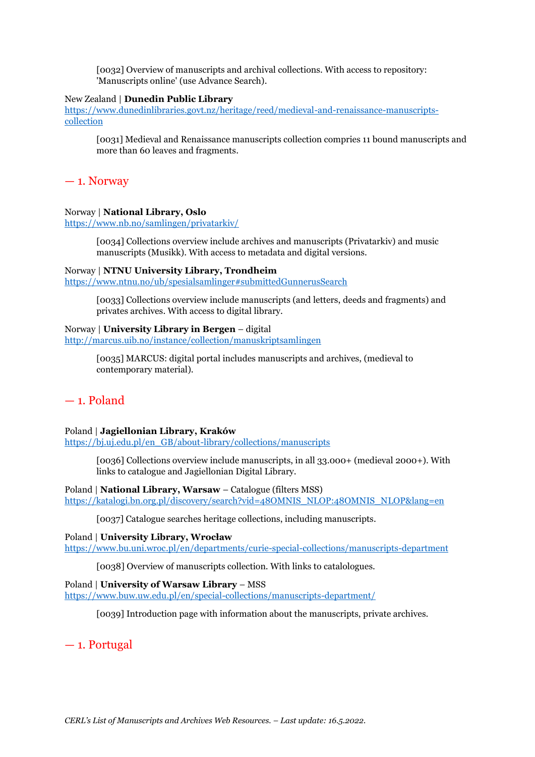[0032] Overview of manuscripts and archival collections. With access to repository: 'Manuscripts online' (use Advance Search).

#### New Zealand | **Dunedin Public Library**

[https://www.dunedinlibraries.govt.nz/heritage/reed/medieval-and-renaissance-manuscripts](https://www.dunedinlibraries.govt.nz/heritage/reed/medieval-and-renaissance-manuscripts-collection)[collection](https://www.dunedinlibraries.govt.nz/heritage/reed/medieval-and-renaissance-manuscripts-collection)

[0031] Medieval and Renaissance manuscripts collection compries 11 bound manuscripts and more than 60 leaves and fragments.

— 1. Norway

#### Norway | **National Library, Oslo**

<https://www.nb.no/samlingen/privatarkiv/>

[0034] Collections overview include archives and manuscripts (Privatarkiv) and music manuscripts (Musikk). With access to metadata and digital versions.

#### Norway | **NTNU University Library, Trondheim**

<https://www.ntnu.no/ub/spesialsamlinger#submittedGunnerusSearch>

[0033] Collections overview include manuscripts (and letters, deeds and fragments) and privates archives. With access to digital library.

#### Norway | **University Library in Bergen** – digital

<http://marcus.uib.no/instance/collection/manuskriptsamlingen>

[0035] MARCUS: digital portal includes manuscripts and archives, (medieval to contemporary material).

## — 1. Poland

#### Poland | **Jagiellonian Library, Kraków**

[https://bj.uj.edu.pl/en\\_GB/about-library/collections/manuscripts](https://bj.uj.edu.pl/en_GB/about-library/collections/manuscripts)

[0036] Collections overview include manuscripts, in all 33.000+ (medieval 2000+). With links to catalogue and Jagiellonian Digital Library.

Poland | **National Library, Warsaw** – Catalogue (filters MSS) [https://katalogi.bn.org.pl/discovery/search?vid=48OMNIS\\_NLOP:48OMNIS\\_NLOP&lang=en](https://katalogi.bn.org.pl/discovery/search?vid=48OMNIS_NLOP:48OMNIS_NLOP&lang=en)

[0037] Catalogue searches heritage collections, including manuscripts.

Poland | **University Library, Wrocław** <https://www.bu.uni.wroc.pl/en/departments/curie-special-collections/manuscripts-department>

[0038] Overview of manuscripts collection. With links to catalologues.

Poland | **University of Warsaw Library** – MSS

<https://www.buw.uw.edu.pl/en/special-collections/manuscripts-department/>

[0039] Introduction page with information about the manuscripts, private archives.

— 1. Portugal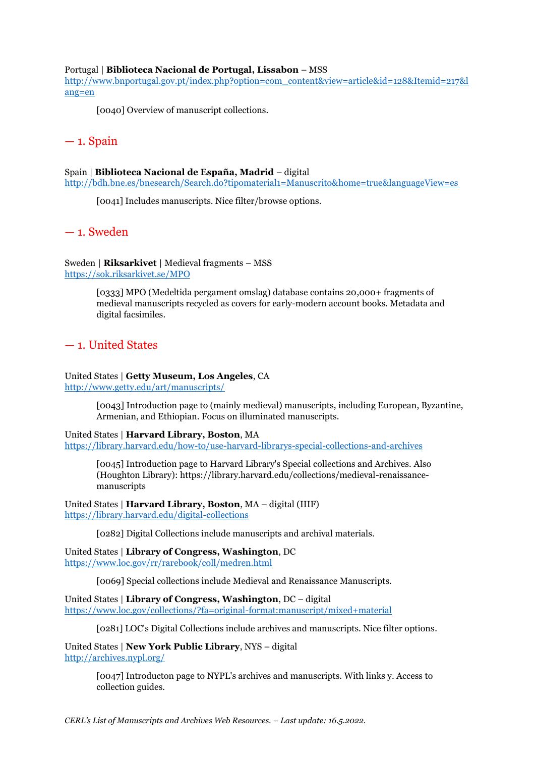#### Portugal | **Biblioteca Nacional de Portugal, Lissabon** – MSS

[http://www.bnportugal.gov.pt/index.php?option=com\\_content&view=article&id=128&Itemid=217&l](http://www.bnportugal.gov.pt/index.php?option=com_content&view=article&id=128&Itemid=217&lang=en) [ang=en](http://www.bnportugal.gov.pt/index.php?option=com_content&view=article&id=128&Itemid=217&lang=en)

[0040] Overview of manuscript collections.

## $-1.$  Spain

#### Spain | **Biblioteca Nacional de España, Madrid** – digital

<http://bdh.bne.es/bnesearch/Search.do?tipomaterial1=Manuscrito&home=true&languageView=es>

[0041] Includes manuscripts. Nice filter/browse options.

— 1. Sweden

Sweden **| Riksarkivet** | Medieval fragments – MSS <https://sok.riksarkivet.se/MPO>

> [0333] MPO (Medeltida pergament omslag) database contains 20,000+ fragments of medieval manuscripts recycled as covers for early-modern account books. Metadata and digital facsimiles.

## — 1. United States

United States | **Getty Museum, Los Angeles**, CA <http://www.getty.edu/art/manuscripts/>

> [0043] Introduction page to (mainly medieval) manuscripts, including European, Byzantine, Armenian, and Ethiopian. Focus on illuminated manuscripts.

United States | **Harvard Library, Boston**, MA <https://library.harvard.edu/how-to/use-harvard-librarys-special-collections-and-archives>

[0045] Introduction page to Harvard Library's Special collections and Archives. Also (Houghton Library): https://library.harvard.edu/collections/medieval-renaissancemanuscripts

United States | **Harvard Library, Boston**, MA – digital (IIIF) <https://library.harvard.edu/digital-collections>

[0282] Digital Collections include manuscripts and archival materials.

United States | **Library of Congress, Washington**, DC <https://www.loc.gov/rr/rarebook/coll/medren.html>

[0069] Special collections include Medieval and Renaissance Manuscripts.

United States | **Library of Congress, Washington**, DC – digital <https://www.loc.gov/collections/?fa=original-format:manuscript/mixed+material>

[0281] LOC's Digital Collections include archives and manuscripts. Nice filter options.

United States | **New York Public Library**, NYS – digital <http://archives.nypl.org/>

> [0047] Introducton page to NYPL's archives and manuscripts. With links y. Access to collection guides.

*CERL's List of Manuscripts and Archives Web Resources. – Last update: 16.5.2022.*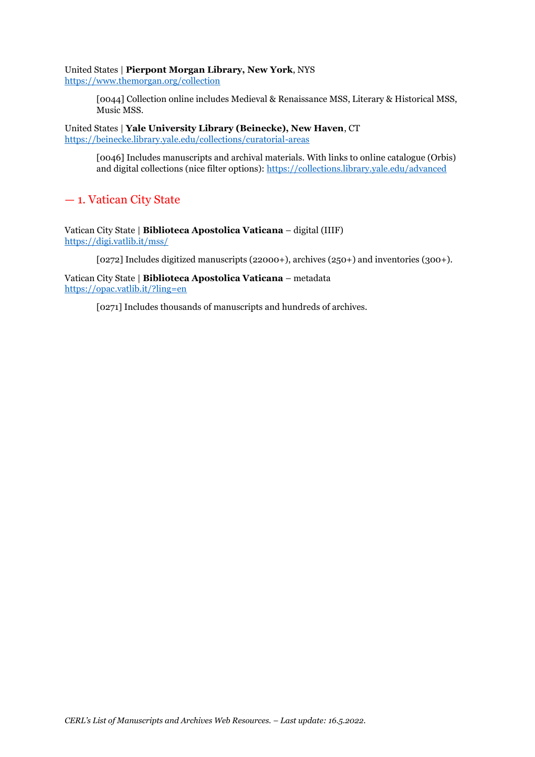## United States | **Pierpont Morgan Library, New York**, NYS

<https://www.themorgan.org/collection>

[0044] Collection online includes Medieval & Renaissance MSS, Literary & Historical MSS, Music MSS.

United States | **Yale University Library (Beinecke), New Haven**, CT <https://beinecke.library.yale.edu/collections/curatorial-areas>

> [0046] Includes manuscripts and archival materials. With links to online catalogue (Orbis) and digital collections (nice filter options):<https://collections.library.yale.edu/advanced>

## — 1. Vatican City State

Vatican City State | **Biblioteca Apostolica Vaticana** – digital (IIIF) <https://digi.vatlib.it/mss/>

[0272] Includes digitized manuscripts (22000+), archives (250+) and inventories (300+).

Vatican City State | **Biblioteca Apostolica Vaticana** – metadata <https://opac.vatlib.it/?ling=en>

[0271] Includes thousands of manuscripts and hundreds of archives.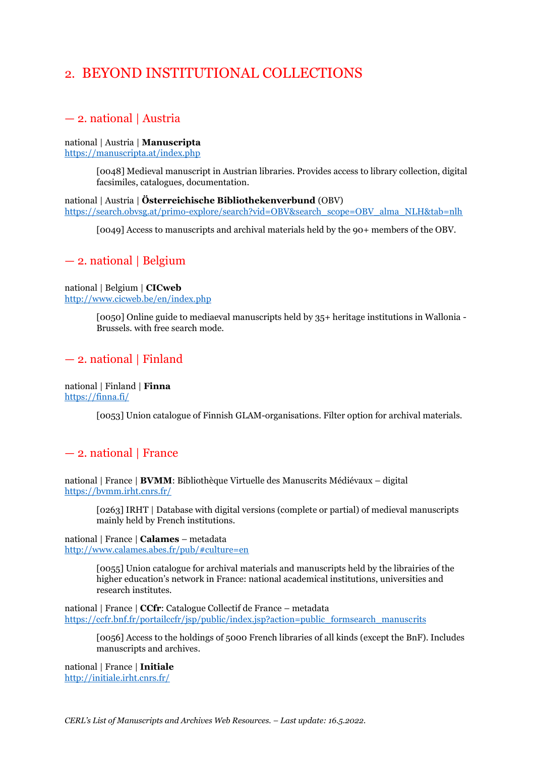## 2. BEYOND INSTITUTIONAL COLLECTIONS

## — 2. national | Austria

## national | Austria | **Manuscripta**

<https://manuscripta.at/index.php>

[0048] Medieval manuscript in Austrian libraries. Provides access to library collection, digital facsimiles, catalogues, documentation.

national | Austria | **Österreichische Bibliothekenverbund** (OBV) [https://search.obvsg.at/primo-explore/search?vid=OBV&search\\_scope=OBV\\_alma\\_NLH&tab=nlh](https://search.obvsg.at/primo-explore/search?vid=OBV&search_scope=OBV_alma_NLH&tab=nlh)

[0049] Access to manuscripts and archival materials held by the 90+ members of the OBV.

## — 2. national | Belgium

national | Belgium | **CICweb** <http://www.cicweb.be/en/index.php>

> [0050] Online guide to mediaeval manuscripts held by 35+ heritage institutions in Wallonia - Brussels. with free search mode.

## — 2. national | Finland

national | Finland | **Finna** <https://finna.fi/>

[0053] Union catalogue of Finnish GLAM-organisations. Filter option for archival materials.

## — 2. national | France

national | France | **BVMM**: Bibliothèque Virtuelle des Manuscrits Médiévaux – digital <https://bvmm.irht.cnrs.fr/>

[0263] IRHT | Database with digital versions (complete or partial) of medieval manuscripts mainly held by French institutions.

national | France | **Calames** – metadata <http://www.calames.abes.fr/pub/#culture=en>

> [0055] Union catalogue for archival materials and manuscripts held by the librairies of the higher education's network in France: national academical institutions, universities and research institutes.

national | France | **CCfr**: Catalogue Collectif de France – metadata [https://ccfr.bnf.fr/portailccfr/jsp/public/index.jsp?action=public\\_formsearch\\_manuscrits](https://ccfr.bnf.fr/portailccfr/jsp/public/index.jsp?action=public_formsearch_manuscrits)

[0056] Access to the holdings of 5000 French libraries of all kinds (except the BnF). Includes manuscripts and archives.

national | France | **Initiale** <http://initiale.irht.cnrs.fr/>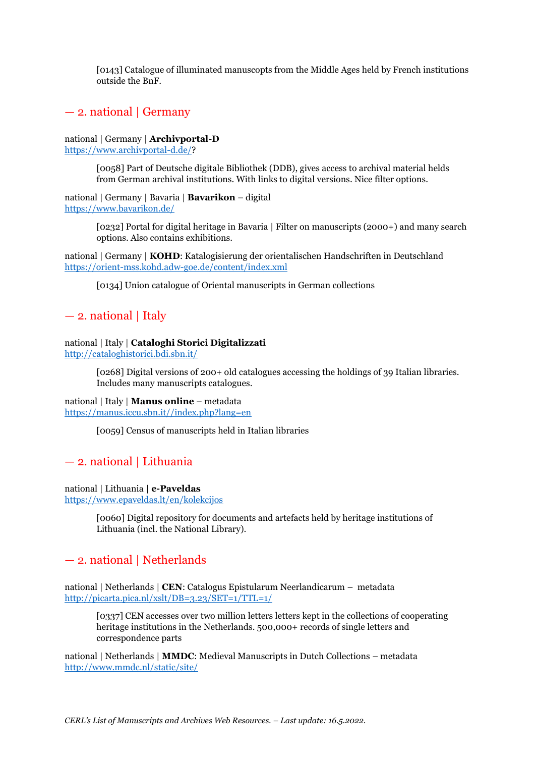[0143] Catalogue of illuminated manuscopts from the Middle Ages held by French institutions outside the BnF.

## — 2. national | Germany

national | Germany | **Archivportal-D** [https://www.archivportal-d.de/?](https://www.archivportal-d.de/)

> [0058] Part of Deutsche digitale Bibliothek (DDB), gives access to archival material helds from German archival institutions. With links to digital versions. Nice filter options.

national | Germany | Bavaria | **Bavarikon** – digital <https://www.bavarikon.de/>

> [0232] Portal for digital heritage in Bavaria | Filter on manuscripts (2000+) and many search options. Also contains exhibitions.

national | Germany | **KOHD**: Katalogisierung der orientalischen Handschriften in Deutschland <https://orient-mss.kohd.adw-goe.de/content/index.xml>

[0134] Union catalogue of Oriental manuscripts in German collections

## — 2. national | Italy

national | Italy | **Cataloghi Storici Digitalizzati** <http://cataloghistorici.bdi.sbn.it/>

> [0268] Digital versions of 200+ old catalogues accessing the holdings of 39 Italian libraries. Includes many manuscripts catalogues.

national | Italy | **Manus online** – metadata [https://manus.iccu.sbn.it//index.php?lang=en](https://manus.iccu.sbn.it/index.php?lang=en)

[0059] Census of manuscripts held in Italian libraries

## — 2. national | Lithuania

national | Lithuania | **e-Paveldas** <https://www.epaveldas.lt/en/kolekcijos>

> [0060] Digital repository for documents and artefacts held by heritage institutions of Lithuania (incl. the National Library).

## — 2. national | Netherlands

national | Netherlands | **CEN**: Catalogus Epistularum Neerlandicarum – metadata <http://picarta.pica.nl/xslt/DB=3.23/SET=1/TTL=1/>

[0337] CEN accesses over two million letters letters kept in the collections of cooperating heritage institutions in the Netherlands. 500,000+ records of single letters and correspondence parts

national | Netherlands | **MMDC**: Medieval Manuscripts in Dutch Collections – metadata <http://www.mmdc.nl/static/site/>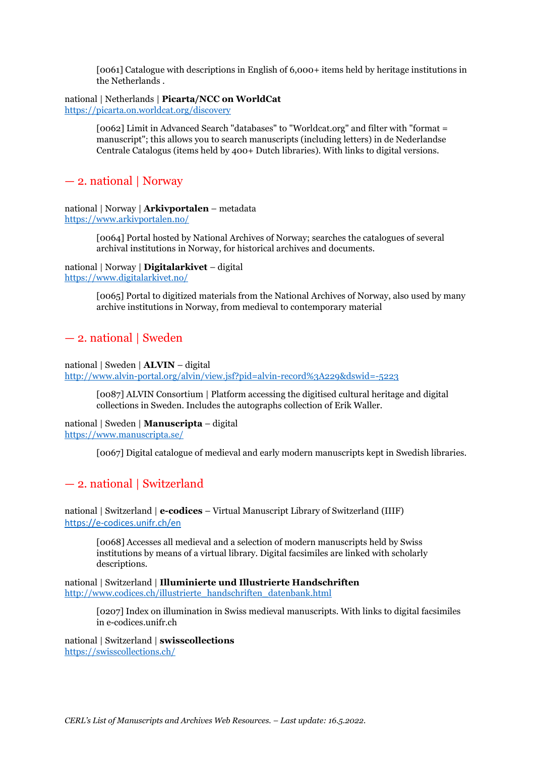[0061] Catalogue with descriptions in English of 6,000+ items held by heritage institutions in the Netherlands .

national | Netherlands | **Picarta/NCC on WorldCat** <https://picarta.on.worldcat.org/discovery>

> [0062] Limit in Advanced Search "databases" to "Worldcat.org" and filter with "format = manuscript"; this allows you to search manuscripts (including letters) in de Nederlandse Centrale Catalogus (items held by 400+ Dutch libraries). With links to digital versions.

## — 2. national | Norway

national | Norway | **Arkivportalen** – metadata <https://www.arkivportalen.no/>

> [0064] Portal hosted by National Archives of Norway; searches the catalogues of several archival institutions in Norway, for historical archives and documents.

national | Norway | **Digitalarkivet** – digital <https://www.digitalarkivet.no/>

> [0065] Portal to digitized materials from the National Archives of Norway, also used by many archive institutions in Norway, from medieval to contemporary material

## — 2. national | Sweden

national | Sweden | **ALVIN** – digital <http://www.alvin-portal.org/alvin/view.jsf?pid=alvin-record%3A229&dswid=-5223>

[0087] ALVIN Consortium | Platform accessing the digitised cultural heritage and digital collections in Sweden. Includes the autographs collection of Erik Waller.

national | Sweden | **Manuscripta** – digital <https://www.manuscripta.se/>

[0067] Digital catalogue of medieval and early modern manuscripts kept in Swedish libraries.

## — 2. national | Switzerland

national | Switzerland | **e-codices** – Virtual Manuscript Library of Switzerland (IIIF) <https://e-codices.unifr.ch/en>

[0068] Accesses all medieval and a selection of modern manuscripts held by Swiss institutions by means of a virtual library. Digital facsimiles are linked with scholarly descriptions.

national | Switzerland | **Illuminierte und Illustrierte Handschriften** [http://www.codices.ch/illustrierte\\_handschriften\\_datenbank.html](http://www.codices.ch/illustrierte_handschriften_datenbank.html)

> [0207] Index on illumination in Swiss medieval manuscripts. With links to digital facsimiles in e-codices.unifr.ch

national | Switzerland | **swisscollections** <https://swisscollections.ch/>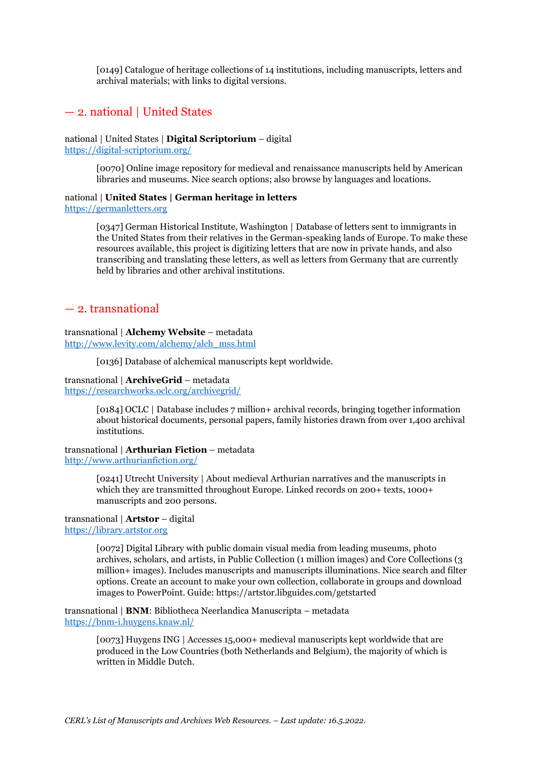[0149] Catalogue of heritage collections of 14 institutions, including manuscripts, letters and archival materials; with links to digital versions.

## — 2. national | United States

national | United States | **Digital Scriptorium** – digital <https://digital-scriptorium.org/>

> [0070] Online image repository for medieval and renaissance manuscripts held by American libraries and museums. Nice search options; also browse by languages and locations.

## national | **United States | German heritage in letters**

[https://germanletters.org](https://germanletters.org/)

[0347] German Historical Institute, Washington | Database of letters sent to immigrants in the United States from their relatives in the German-speaking lands of Europe. To make these resources available, this project is digitizing letters that are now in private hands, and also transcribing and translating these letters, as well as letters from Germany that are currently held by libraries and other archival institutions.

## — 2. transnational

#### transnational | **Alchemy Website** – metadata [http://www.levity.com/alchemy/alch\\_mss.html](http://www.levity.com/alchemy/alch_mss.html)

[0136] Database of alchemical manuscripts kept worldwide.

#### transnational | **ArchiveGrid** – metadata <https://researchworks.oclc.org/archivegrid/>

[0184] OCLC | Database includes 7 million+ archival records, bringing together information about historical documents, personal papers, family histories drawn from over 1,400 archival institutions.

#### transnational | **Arthurian Fiction** – metadata <http://www.arthurianfiction.org/>

[0241] Utrecht University | About medieval Arthurian narratives and the manuscripts in which they are transmitted throughout Europe. Linked records on 200+ texts, 1000+ manuscripts and 200 persons.

#### transnational | **Artstor** – digital [https://library.artstor.org](https://library.artstor.org/)

[0072] Digital Library with public domain visual media from leading museums, photo archives, scholars, and artists, in Public Collection (1 million images) and Core Collections (3 million+ images). Includes manuscripts and manuscripts illuminations. Nice search and filter options. Create an account to make your own collection, collaborate in groups and download images to PowerPoint. Guide: https://artstor.libguides.com/getstarted

transnational | **BNM**: Bibliotheca Neerlandica Manuscripta – metadata <https://bnm-i.huygens.knaw.nl/>

> [0073] Huygens ING | Accesses 15,000+ medieval manuscripts kept worldwide that are produced in the Low Countries (both Netherlands and Belgium), the majority of which is written in Middle Dutch.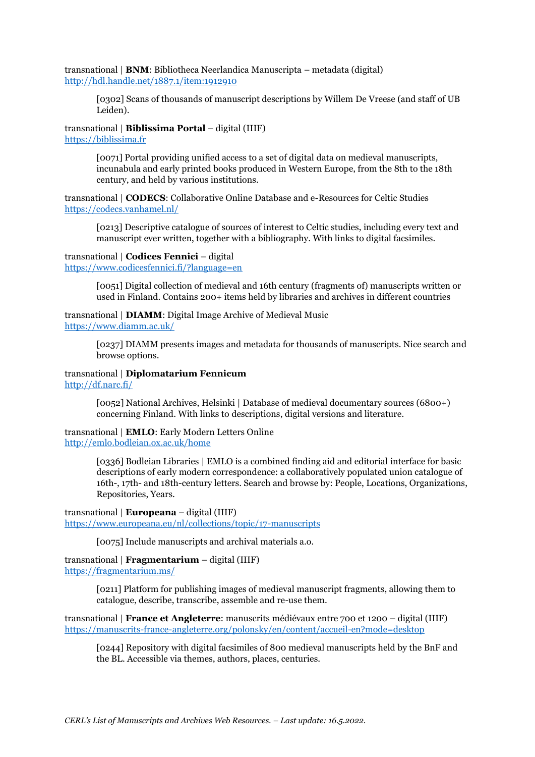transnational | **BNM**: Bibliotheca Neerlandica Manuscripta – metadata (digital) <http://hdl.handle.net/1887.1/item:1912910>

[0302] Scans of thousands of manuscript descriptions by Willem De Vreese (and staff of UB Leiden).

transnational | **Biblissima Portal** – digital (IIIF) [https://biblissima.fr](https://biblissima.fr/)

> [0071] Portal providing unified access to a set of digital data on medieval manuscripts, incunabula and early printed books produced in Western Europe, from the 8th to the 18th century, and held by various institutions.

transnational | **CODECS**: Collaborative Online Database and e-Resources for Celtic Studies <https://codecs.vanhamel.nl/>

[0213] Descriptive catalogue of sources of interest to Celtic studies, including every text and manuscript ever written, together with a bibliography. With links to digital facsimiles.

#### transnational | **Codices Fennici** – digital

<https://www.codicesfennici.fi/?language=en>

[0051] Digital collection of medieval and 16th century (fragments of) manuscripts written or used in Finland. Contains 200+ items held by libraries and archives in different countries

## transnational | **DIAMM**: Digital Image Archive of Medieval Music

<https://www.diamm.ac.uk/>

[0237] DIAMM presents images and metadata for thousands of manuscripts. Nice search and browse options.

transnational | **Diplomatarium Fennicum** <http://df.narc.fi/>

> [0052] National Archives, Helsinki | Database of medieval documentary sources (6800+) concerning Finland. With links to descriptions, digital versions and literature.

transnational | **EMLO**: Early Modern Letters Online <http://emlo.bodleian.ox.ac.uk/home>

> [0336] Bodleian Libraries | EMLO is a combined finding aid and editorial interface for basic descriptions of early modern correspondence: a collaboratively populated union catalogue of 16th-, 17th- and 18th-century letters. Search and browse by: People, Locations, Organizations, Repositories, Years.

transnational | **Europeana** – digital (IIIF)

<https://www.europeana.eu/nl/collections/topic/17-manuscripts>

[0075] Include manuscripts and archival materials a.o.

## transnational | **Fragmentarium** – digital (IIIF)

<https://fragmentarium.ms/>

[0211] Platform for publishing images of medieval manuscript fragments, allowing them to catalogue, describe, transcribe, assemble and re-use them.

transnational | **France et Angleterre**: manuscrits médiévaux entre 700 et 1200 – digital (IIIF) <https://manuscrits-france-angleterre.org/polonsky/en/content/accueil-en?mode=desktop>

[0244] Repository with digital facsimiles of 800 medieval manuscripts held by the BnF and the BL. Accessible via themes, authors, places, centuries.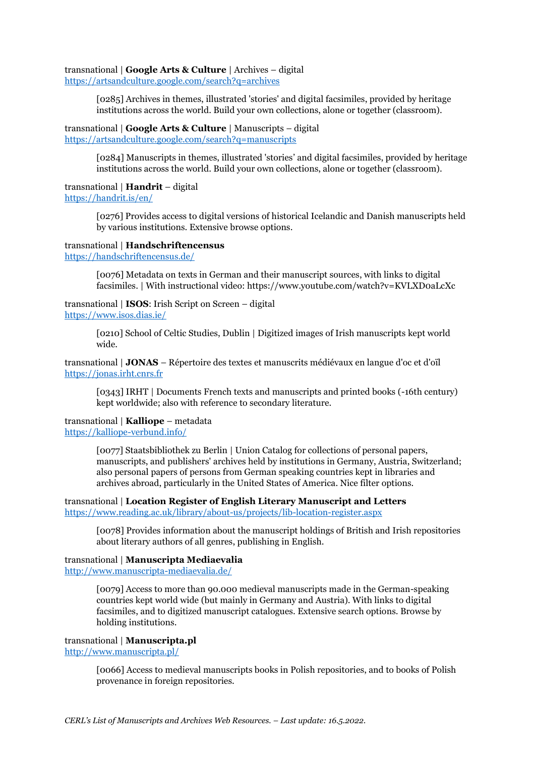#### transnational | **Google Arts & Culture** | Archives – digital

<https://artsandculture.google.com/search?q=archives>

[0285] Archives in themes, illustrated 'stories' and digital facsimiles, provided by heritage institutions across the world. Build your own collections, alone or together (classroom).

#### transnational | **Google Arts & Culture** | Manuscripts – digital <https://artsandculture.google.com/search?q=manuscripts>

[0284] Manuscripts in themes, illustrated 'stories' and digital facsimiles, provided by heritage institutions across the world. Build your own collections, alone or together (classroom).

#### transnational | **Handrit** – digital

<https://handrit.is/en/>

[0276] Provides access to digital versions of historical Icelandic and Danish manuscripts held by various institutions. Extensive browse options.

#### transnational | **Handschriftencensus**

<https://handschriftencensus.de/>

[0076] Metadata on texts in German and their manuscript sources, with links to digital facsimiles. | With instructional video: https://www.youtube.com/watch?v=KVLXD0aLcXc

## transnational | **ISOS**: Irish Script on Screen – digital

<https://www.isos.dias.ie/>

[0210] School of Celtic Studies, Dublin | Digitized images of Irish manuscripts kept world wide.

transnational | **JONAS** – Répertoire des textes et manuscrits médiévaux en langue d'oc et d'oïl [https://jonas.irht.cnrs.fr](https://jonas.irht.cnrs.fr/)

[0343] IRHT | Documents French texts and manuscripts and printed books (-16th century) kept worldwide; also with reference to secondary literature.

## transnational | **Kalliope** – metadata

<https://kalliope-verbund.info/>

[0077] Staatsbibliothek zu Berlin | Union Catalog for collections of personal papers, manuscripts, and publishers' archives held by institutions in Germany, Austria, Switzerland; also personal papers of persons from German speaking countries kept in libraries and archives abroad, particularly in the United States of America. Nice filter options.

#### transnational | **Location Register of English Literary Manuscript and Letters** <https://www.reading.ac.uk/library/about-us/projects/lib-location-register.aspx>

[0078] Provides information about the manuscript holdings of British and Irish repositories about literary authors of all genres, publishing in English.

#### transnational | **Manuscripta Mediaevalia**

<http://www.manuscripta-mediaevalia.de/>

[0079] Access to more than 90.000 medieval manuscripts made in the German-speaking countries kept world wide (but mainly in Germany and Austria). With links to digital facsimiles, and to digitized manuscript catalogues. Extensive search options. Browse by holding institutions.

#### transnational | **Manuscripta.pl**

<http://www.manuscripta.pl/>

[0066] Access to medieval manuscripts books in Polish repositories, and to books of Polish provenance in foreign repositories.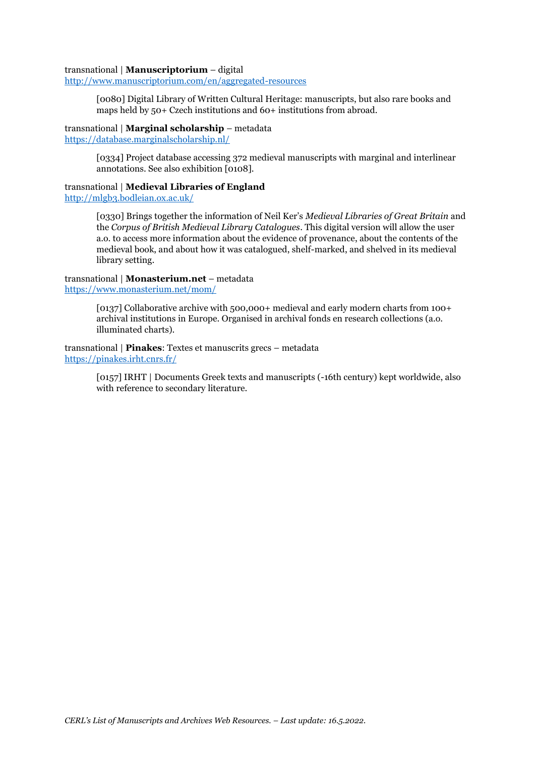#### transnational | **Manuscriptorium** – digital

<http://www.manuscriptorium.com/en/aggregated-resources>

[0080] Digital Library of Written Cultural Heritage: manuscripts, but also rare books and maps held by 50+ Czech institutions and 60+ institutions from abroad.

transnational | **Marginal scholarship** – metadata <https://database.marginalscholarship.nl/>

> [0334] Project database accessing 372 medieval manuscripts with marginal and interlinear annotations. See also exhibition [0108].

## transnational | **Medieval Libraries of England**

<http://mlgb3.bodleian.ox.ac.uk/>

[0330] Brings together the information of Neil Ker's *Medieval Libraries of Great Britain* and the *Corpus of British Medieval Library Catalogues*. This digital version will allow the user a.o. to access more information about the evidence of provenance, about the contents of the medieval book, and about how it was catalogued, shelf-marked, and shelved in its medieval library setting.

#### transnational | **Monasterium.net** – metadata <https://www.monasterium.net/mom/>

[0137] Collaborative archive with 500,000+ medieval and early modern charts from 100+ archival institutions in Europe. Organised in archival fonds en research collections (a.o. illuminated charts).

transnational | **Pinakes**: Textes et manuscrits grecs – metadata <https://pinakes.irht.cnrs.fr/>

> [0157] IRHT | Documents Greek texts and manuscripts (-16th century) kept worldwide, also with reference to secondary literature.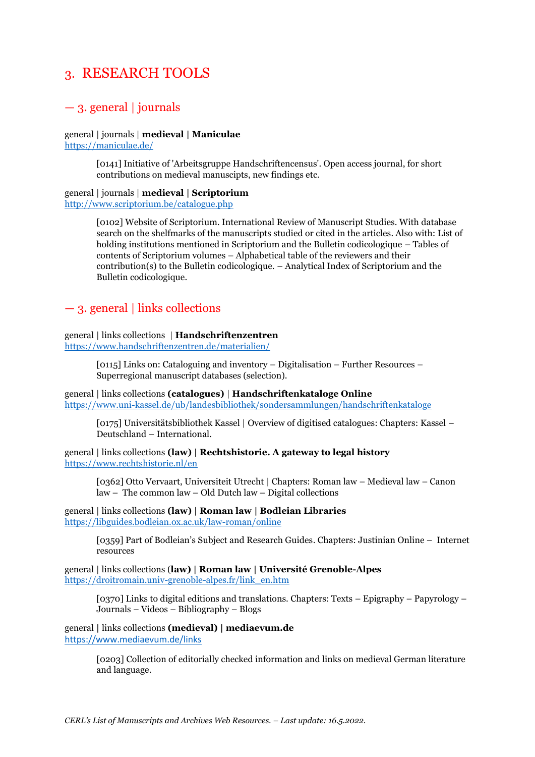## 3. RESEARCH TOOLS

## $-$  3. general | journals

general | journals | **medieval | Maniculae** <https://maniculae.de/>

> [0141] Initiative of 'Arbeitsgruppe Handschriftencensus'. Open access journal, for short contributions on medieval manuscipts, new findings etc.

general | journals | **medieval | Scriptorium** <http://www.scriptorium.be/catalogue.php>

> [0102] Website of Scriptorium. International Review of Manuscript Studies. With database search on the shelfmarks of the manuscripts studied or cited in the articles. Also with: List of holding institutions mentioned in Scriptorium and the Bulletin codicologique – Tables of contents of Scriptorium volumes – Alphabetical table of the reviewers and their contribution(s) to the Bulletin codicologique. – Analytical Index of Scriptorium and the Bulletin codicologique.

## — 3. general | links collections

general | links collections | **Handschriftenzentren** <https://www.handschriftenzentren.de/materialien/>

> [0115] Links on: Cataloguing and inventory – Digitalisation – Further Resources – Superregional manuscript databases (selection).

general | links collections **(catalogues)** | **Handschriftenkataloge Online** <https://www.uni-kassel.de/ub/landesbibliothek/sondersammlungen/handschriftenkataloge>

[0175] Universitätsbibliothek Kassel | Overview of digitised catalogues: Chapters: Kassel – Deutschland – International.

general | links collections **(law) | Rechtshistorie. A gateway to legal history** <https://www.rechtshistorie.nl/en>

[0362] Otto Vervaart, Universiteit Utrecht | Chapters: Roman law – Medieval law – Canon law – The common law – Old Dutch law – Digital collections

general | links collections **(law) | Roman law | Bodleian Libraries** <https://libguides.bodleian.ox.ac.uk/law-roman/online>

> [0359] Part of Bodleian's Subject and Research Guides. Chapters: Justinian Online – Internet resources

general | links collections (**law) | Roman law | Université Grenoble-Alpes** [https://droitromain.univ-grenoble-alpes.fr/link\\_en.htm](https://droitromain.univ-grenoble-alpes.fr/link_en.htm)

[0370] Links to digital editions and translations. Chapters: Texts – Epigraphy – Papyrology – Journals – Videos – Bibliography – Blogs

general **|** links collections **(medieval) | mediaevum.de** <https://www.mediaevum.de/links>

> [0203] Collection of editorially checked information and links on medieval German literature and language.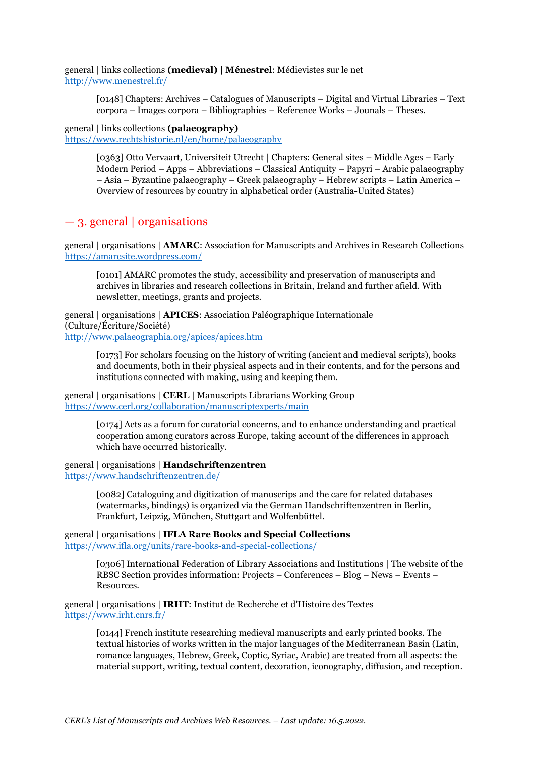general | links collections **(medieval) | Ménestrel**: Médievistes sur le net <http://www.menestrel.fr/>

> [0148] Chapters: Archives – Catalogues of Manuscripts – Digital and Virtual Libraries – Text corpora – Images corpora – Bibliographies – Reference Works – Jounals – Theses.

general | links collections **(palaeography)** <https://www.rechtshistorie.nl/en/home/palaeography>

> [0363] Otto Vervaart, Universiteit Utrecht | Chapters: General sites – Middle Ages – Early Modern Period – Apps – Abbreviations – Classical Antiquity – Papyri – Arabic palaeography – Asia – Byzantine palaeography – Greek palaeography – Hebrew scripts – Latin America – Overview of resources by country in alphabetical order (Australia-United States)

## — 3. general | organisations

general | organisations | **AMARC**: Association for Manuscripts and Archives in Research Collections <https://amarcsite.wordpress.com/>

[0101] AMARC promotes the study, accessibility and preservation of manuscripts and archives in libraries and research collections in Britain, Ireland and further afield. With newsletter, meetings, grants and projects.

general | organisations | **APICES**: Association Paléographique Internationale (Culture/Écriture/Société) <http://www.palaeographia.org/apices/apices.htm>

[0173] For scholars focusing on the history of writing (ancient and medieval scripts), books and documents, both in their physical aspects and in their contents, and for the persons and institutions connected with making, using and keeping them.

general | organisations | **CERL** | Manuscripts Librarians Working Group <https://www.cerl.org/collaboration/manuscriptexperts/main>

> [0174] Acts as a forum for curatorial concerns, and to enhance understanding and practical cooperation among curators across Europe, taking account of the differences in approach which have occurred historically.

general | organisations | **Handschriftenzentren**

<https://www.handschriftenzentren.de/>

[0082] Cataloguing and digitization of manuscrips and the care for related databases (watermarks, bindings) is organized via the German Handschriftenzentren in Berlin, Frankfurt, Leipzig, München, Stuttgart and Wolfenbüttel.

general | organisations | **IFLA Rare Books and Special Collections** <https://www.ifla.org/units/rare-books-and-special-collections/>

> [0306] International Federation of Library Associations and Institutions | The website of the RBSC Section provides information: Projects – Conferences – Blog – News – Events – Resources.

general | organisations | **IRHT**: Institut de Recherche et d'Histoire des Textes <https://www.irht.cnrs.fr/>

> [0144] French institute researching medieval manuscripts and early printed books. The textual histories of works written in the major languages of the Mediterranean Basin (Latin, romance languages, Hebrew, Greek, Coptic, Syriac, Arabic) are treated from all aspects: the material support, writing, textual content, decoration, iconography, diffusion, and reception.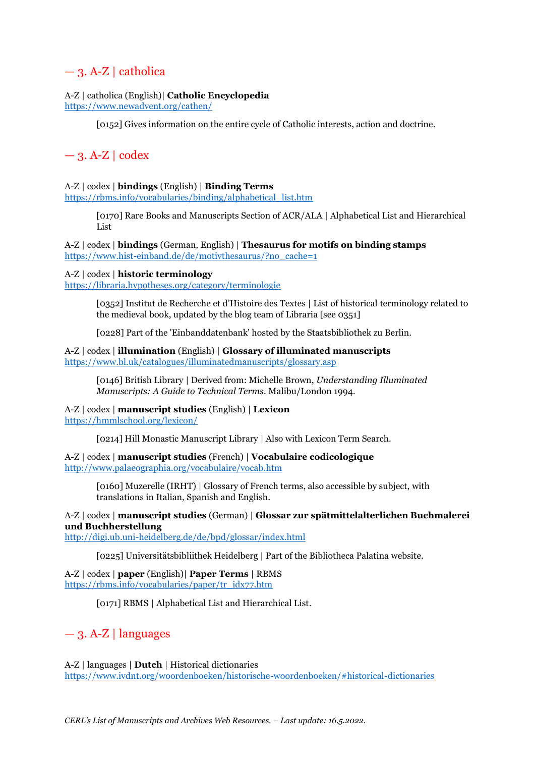## $-3.$  A-Z | catholica

## A-Z | catholica (English)| **Catholic Encyclopedia**

<https://www.newadvent.org/cathen/>

[0152] Gives information on the entire cycle of Catholic interests, action and doctrine.

## $-3.$  A-Z | codex

## A-Z | codex | **bindings** (English) | **Binding Terms**

[https://rbms.info/vocabularies/binding/alphabetical\\_list.htm](https://rbms.info/vocabularies/binding/alphabetical_list.htm)

[0170] Rare Books and Manuscripts Section of ACR/ALA | Alphabetical List and Hierarchical List

A-Z | codex | **bindings** (German, English) | **Thesaurus for motifs on binding stamps** [https://www.hist-einband.de/de/motivthesaurus/?no\\_cache=1](https://www.hist-einband.de/de/motivthesaurus/?no_cache=1)

## A-Z | codex | **historic terminology**

<https://libraria.hypotheses.org/category/terminologie>

[0352] Institut de Recherche et d'Histoire des Textes | List of historical terminology related to the medieval book, updated by the blog team of Libraria [see 0351]

[0228] Part of the 'Einbanddatenbank' hosted by the Staatsbibliothek zu Berlin.

A-Z | codex | **illumination** (English) | **Glossary of illuminated manuscripts** <https://www.bl.uk/catalogues/illuminatedmanuscripts/glossary.asp>

[0146] British Library | Derived from: Michelle Brown, *Understanding Illuminated Manuscripts: A Guide to Technical Terms*. Malibu/London 1994.

A-Z | codex | **manuscript studies** (English) | **Lexicon**

<https://hmmlschool.org/lexicon/>

[0214] Hill Monastic Manuscript Library | Also with Lexicon Term Search.

A-Z | codex | **manuscript studies** (French) | **Vocabulaire codicologique** <http://www.palaeographia.org/vocabulaire/vocab.htm>

[0160] Muzerelle (IRHT) | Glossary of French terms, also accessible by subject, with translations in Italian, Spanish and English.

## A-Z | codex | **manuscript studies** (German) | **Glossar zur spätmittelalterlichen Buchmalerei und Buchherstellung**

<http://digi.ub.uni-heidelberg.de/de/bpd/glossar/index.html>

[0225] Universitätsbibliithek Heidelberg | Part of the Bibliotheca Palatina website.

A-Z | codex | **paper** (English)| **Paper Terms** | RBMS [https://rbms.info/vocabularies/paper/tr\\_idx77.htm](https://rbms.info/vocabularies/paper/tr_idx77.htm)

[0171] RBMS | Alphabetical List and Hierarchical List.

## $-3.$  A-Z | languages

A-Z | languages | **Dutch** | Historical dictionaries <https://www.ivdnt.org/woordenboeken/historische-woordenboeken/#historical-dictionaries>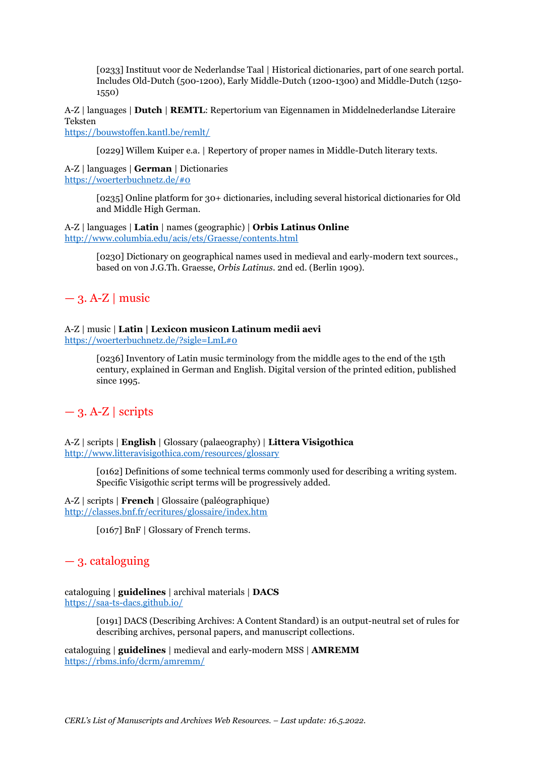[0233] Instituut voor de Nederlandse Taal | Historical dictionaries, part of one search portal. Includes Old-Dutch (500-1200), Early Middle-Dutch (1200-1300) and Middle-Dutch (1250- 1550)

A-Z | languages | **Dutch** | **REMTL**: Repertorium van Eigennamen in Middelnederlandse Literaire Teksten

<https://bouwstoffen.kantl.be/remlt/>

[0229] Willem Kuiper e.a. | Repertory of proper names in Middle-Dutch literary texts.

A-Z | languages | **German** | Dictionaries <https://woerterbuchnetz.de/#0>

> [0235] Online platform for 30+ dictionaries, including several historical dictionaries for Old and Middle High German.

### A-Z | languages | **Latin** | names (geographic) | **Orbis Latinus Online** <http://www.columbia.edu/acis/ets/Graesse/contents.html>

[0230] Dictionary on geographical names used in medieval and early-modern text sources., based on von J.G.Th. Graesse, *Orbis Latinus*. 2nd ed. (Berlin 1909).

 $-3.$  A-Z | music

## A-Z | music | **Latin | Lexicon musicon Latinum medii aevi**

<https://woerterbuchnetz.de/?sigle=LmL#0>

[0236] Inventory of Latin music terminology from the middle ages to the end of the 15th century, explained in German and English. Digital version of the printed edition, published since 1995.

## $-3.$  A-Z | scripts

A-Z | scripts | **English** | Glossary (palaeography) | **Littera Visigothica** <http://www.litteravisigothica.com/resources/glossary>

> [0162] Definitions of some technical terms commonly used for describing a writing system. Specific Visigothic script terms will be progressively added.

A-Z | scripts | **French** | Glossaire (paléographique) <http://classes.bnf.fr/ecritures/glossaire/index.htm>

[0167] BnF | Glossary of French terms.

## — 3. cataloguing

cataloguing | **guidelines** | archival materials | **DACS** <https://saa-ts-dacs.github.io/>

> [0191] DACS (Describing Archives: A Content Standard) is an output-neutral set of rules for describing archives, personal papers, and manuscript collections.

cataloguing | **guidelines** | medieval and early-modern MSS | **AMREMM** <https://rbms.info/dcrm/amremm/>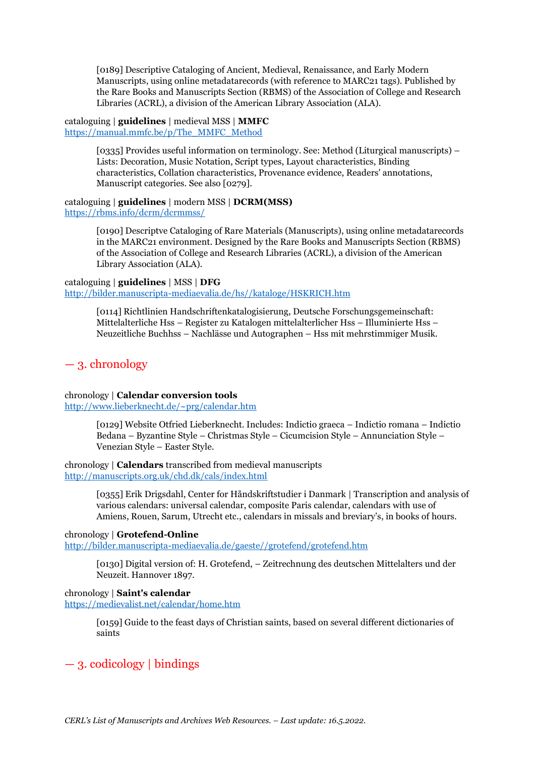[0189] Descriptive Cataloging of Ancient, Medieval, Renaissance, and Early Modern Manuscripts, using online metadatarecords (with reference to MARC21 tags). Published by the Rare Books and Manuscripts Section (RBMS) of the Association of College and Research Libraries (ACRL), a division of the American Library Association (ALA).

cataloguing | **guidelines** | medieval MSS | **MMFC** [https://manual.mmfc.be/p/The\\_MMFC\\_Method](https://manual.mmfc.be/p/The_MMFC_Method)

> [0335] Provides useful information on terminology. See: Method (Liturgical manuscripts) – Lists: Decoration, Music Notation, Script types, Layout characteristics, Binding characteristics, Collation characteristics, Provenance evidence, Readers' annotations, Manuscript categories. See also [0279].

#### cataloguing | **guidelines** | modern MSS | **DCRM(MSS)** <https://rbms.info/dcrm/dcrmmss/>

[0190] Descriptve Cataloging of Rare Materials (Manuscripts), using online metadatarecords in the MARC21 environment. Designed by the Rare Books and Manuscripts Section (RBMS) of the Association of College and Research Libraries (ACRL), a division of the American Library Association (ALA).

cataloguing | **guidelines** | MSS | **DFG** [http://bilder.manuscripta-mediaevalia.de/hs//kataloge/HSKRICH.htm](http://bilder.manuscripta-mediaevalia.de/hs/kataloge/HSKRICH.htm)

> [0114] Richtlinien Handschriftenkatalogisierung, Deutsche Forschungsgemeinschaft: Mittelalterliche Hss – Register zu Katalogen mittelalterlicher Hss – Illuminierte Hss – Neuzeitliche Buchhss – Nachlässe und Autographen – Hss mit mehrstimmiger Musik.

## — 3. chronology

## chronology | **Calendar conversion tools**

<http://www.lieberknecht.de/~prg/calendar.htm>

[0129] Website Otfried Lieberknecht. Includes: Indictio graeca – Indictio romana – Indictio Bedana – Byzantine Style – Christmas Style – Cicumcision Style – Annunciation Style – Venezian Style – Easter Style.

### chronology | **Calendars** transcribed from medieval manuscripts <http://manuscripts.org.uk/chd.dk/cals/index.html>

[0355] Erik Drigsdahl, Center for Håndskriftstudier i Danmark | Transcription and analysis of various calendars: universal calendar, composite Paris calendar, calendars with use of Amiens, Rouen, Sarum, Utrecht etc., calendars in missals and breviary's, in books of hours.

## chronology | **Grotefend-Online**

[http://bilder.manuscripta-mediaevalia.de/gaeste//grotefend/grotefend.htm](http://bilder.manuscripta-mediaevalia.de/gaeste/grotefend/grotefend.htm)

[0130] Digital version of: H. Grotefend, – Zeitrechnung des deutschen Mittelalters und der Neuzeit. Hannover 1897.

## chronology | **Saint's calendar**

<https://medievalist.net/calendar/home.htm>

[0159] Guide to the feast days of Christian saints, based on several different dictionaries of saints

## — 3. codicology | bindings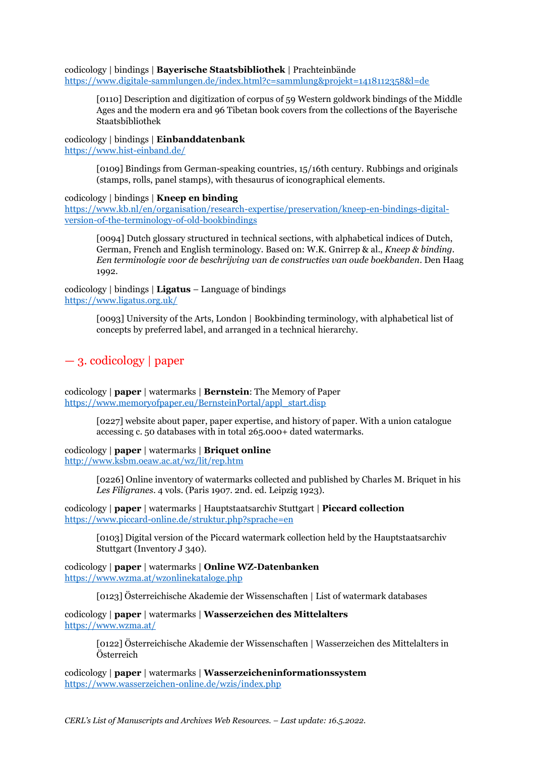codicology | bindings | **Bayerische Staatsbibliothek** | Prachteinbände <https://www.digitale-sammlungen.de/index.html?c=sammlung&projekt=1418112358&l=de>

[0110] Description and digitization of corpus of 59 Western goldwork bindings of the Middle Ages and the modern era and 96 Tibetan book covers from the collections of the Bayerische Staatsbibliothek

codicology | bindings | **Einbanddatenbank** <https://www.hist-einband.de/>

> [0109] Bindings from German-speaking countries, 15/16th century. Rubbings and originals (stamps, rolls, panel stamps), with thesaurus of iconographical elements.

#### codicology | bindings | **Kneep en binding**

[https://www.kb.nl/en/organisation/research-expertise/preservation/kneep-en-bindings-digital](https://www.kb.nl/en/organisation/research-expertise/preservation/kneep-en-bindings-digital-version-of-the-terminology-of-old-bookbindings)[version-of-the-terminology-of-old-bookbindings](https://www.kb.nl/en/organisation/research-expertise/preservation/kneep-en-bindings-digital-version-of-the-terminology-of-old-bookbindings)

[0094] Dutch glossary structured in technical sections, with alphabetical indices of Dutch, German, French and English terminology. Based on: W.K. Gnirrep & al., *Kneep & binding. Een terminologie voor de beschrijving van de constructies van oude boekbanden*. Den Haag 1992.

codicology | bindings | **Ligatus** – Language of bindings <https://www.ligatus.org.uk/>

> [0093] University of the Arts, London | Bookbinding terminology, with alphabetical list of concepts by preferred label, and arranged in a technical hierarchy.

## — 3. codicology | paper

codicology | **paper** | watermarks | **Bernstein**: The Memory of Paper [https://www.memoryofpaper.eu/BernsteinPortal/appl\\_start.disp](https://www.memoryofpaper.eu/BernsteinPortal/appl_start.disp)

> [0227] website about paper, paper expertise, and history of paper. With a union catalogue accessing c. 50 databases with in total 265.000+ dated watermarks.

## codicology | **paper** | watermarks | **Briquet online**

<http://www.ksbm.oeaw.ac.at/wz/lit/rep.htm>

[0226] Online inventory of watermarks collected and published by Charles M. Briquet in his *Les Filigranes*. 4 vols. (Paris 1907. 2nd. ed. Leipzig 1923).

codicology | **paper** | watermarks | Hauptstaatsarchiv Stuttgart | **Piccard collection** <https://www.piccard-online.de/struktur.php?sprache=en>

[0103] Digital version of the Piccard watermark collection held by the Hauptstaatsarchiv Stuttgart (Inventory J 340).

codicology | **paper** | watermarks | **Online WZ-Datenbanken** <https://www.wzma.at/wzonlinekataloge.php>

[0123] Österreichische Akademie der Wissenschaften | List of watermark databases

codicology | **paper** | watermarks | **Wasserzeichen des Mittelalters** <https://www.wzma.at/>

> [0122] Österreichische Akademie der Wissenschaften | Wasserzeichen des Mittelalters in Österreich

codicology | **paper** | watermarks | **Wasserzeicheninformationssystem** <https://www.wasserzeichen-online.de/wzis/index.php>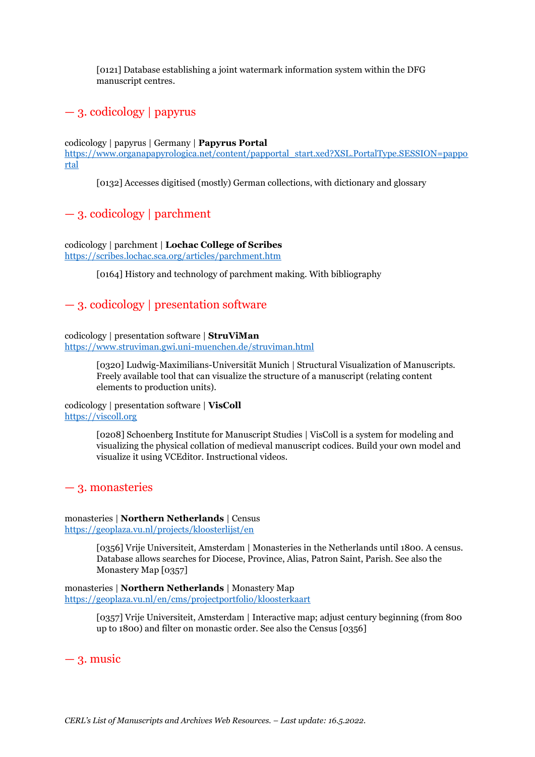[0121] Database establishing a joint watermark information system within the DFG manuscript centres.

## — 3. codicology | papyrus

#### codicology | papyrus | Germany | **Papyrus Portal**

[https://www.organapapyrologica.net/content/papportal\\_start.xed?XSL.PortalType.SESSION=pappo](https://www.organapapyrologica.net/content/papportal_start.xed?XSL.PortalType.SESSION=papportal) [rtal](https://www.organapapyrologica.net/content/papportal_start.xed?XSL.PortalType.SESSION=papportal)

[0132] Accesses digitised (mostly) German collections, with dictionary and glossary

## — 3. codicology | parchment

codicology | parchment | **Lochac College of Scribes** <https://scribes.lochac.sca.org/articles/parchment.htm>

[0164] History and technology of parchment making. With bibliography

## — 3. codicology | presentation software

#### codicology | presentation software | **StruViMan** <https://www.struviman.gwi.uni-muenchen.de/struviman.html>

[0320] Ludwig-Maximilians-Universität Munich | Structural Visualization of Manuscripts. Freely available tool that can visualize the structure of a manuscript (relating content elements to production units).

#### codicology | presentation software | **VisColl** [https://viscoll.org](https://viscoll.org/)

[0208] Schoenberg Institute for Manuscript Studies | VisColl is a system for modeling and visualizing the physical collation of medieval manuscript codices. Build your own model and visualize it using VCEditor. Instructional videos.

## — 3. monasteries

## monasteries | **Northern Netherlands** | Census

[https://geoplaza.vu.nl/projects/kloosterlijst/en](https://geoplaza.vu.nl/projects/kloosterlijst/en/)

[0356] Vrije Universiteit, Amsterdam | Monasteries in the Netherlands until 1800. A census. Database allows searches for Diocese, Province, Alias, Patron Saint, Parish. See also the Monastery Map [0357]

#### monasteries | **Northern Netherlands** | Monastery Map <https://geoplaza.vu.nl/en/cms/projectportfolio/kloosterkaart>

[0357] Vrije Universiteit, Amsterdam | Interactive map; adjust century beginning (from 800 up to 1800) and filter on monastic order. See also the Census [0356]

## $-3$ . music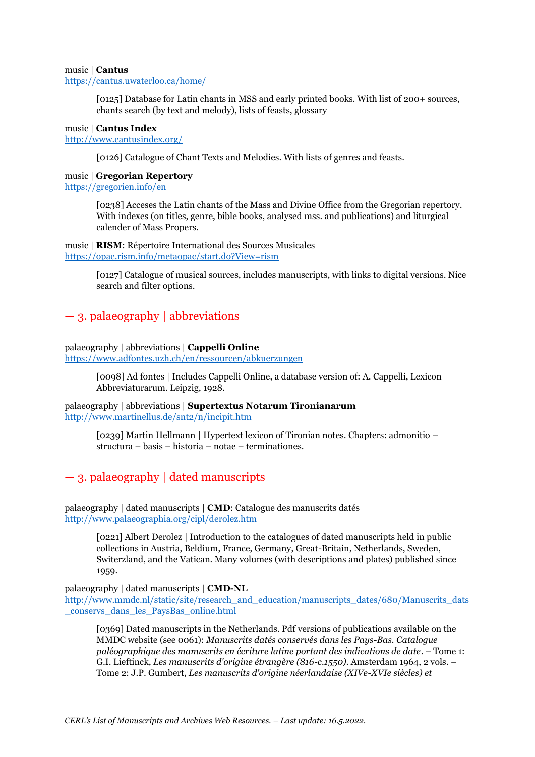#### music | **Cantus** <https://cantus.uwaterloo.ca/home/>

[0125] Database for Latin chants in MSS and early printed books. With list of 200+ sources, chants search (by text and melody), lists of feasts, glossary

#### music | **Cantus Index** <http://www.cantusindex.org/>

[0126] Catalogue of Chant Texts and Melodies. With lists of genres and feasts.

#### music | **Gregorian Repertory** <https://gregorien.info/en>

[0238] Acceses the Latin chants of the Mass and Divine Office from the Gregorian repertory. With indexes (on titles, genre, bible books, analysed mss. and publications) and liturgical calender of Mass Propers.

#### music | **RISM**: Répertoire International des Sources Musicales <https://opac.rism.info/metaopac/start.do?View=rism>

[0127] Catalogue of musical sources, includes manuscripts, with links to digital versions. Nice search and filter options.

## — 3. palaeography | abbreviations

#### palaeography | abbreviations | **Cappelli Online** <https://www.adfontes.uzh.ch/en/ressourcen/abkuerzungen>

[0098] Ad fontes | Includes Cappelli Online, a database version of: A. Cappelli, Lexicon Abbreviaturarum. Leipzig, 1928.

palaeography | abbreviations | **Supertextus Notarum Tironianarum** <http://www.martinellus.de/snt2/n/incipit.htm>

> [0239] Martin Hellmann | Hypertext lexicon of Tironian notes. Chapters: admonitio – structura – basis – historia – notae – terminationes.

## — 3. palaeography | dated manuscripts

palaeography | dated manuscripts | **CMD**: Catalogue des manuscrits datés <http://www.palaeographia.org/cipl/derolez.htm>

> [0221] Albert Derolez | Introduction to the catalogues of dated manuscripts held in public collections in Austria, Beldium, France, Germany, Great-Britain, Netherlands, Sweden, Switerzland, and the Vatican. Many volumes (with descriptions and plates) published since 1959.

palaeography | dated manuscripts | **CMD-NL**

[http://www.mmdc.nl/static/site/research\\_and\\_education/manuscripts\\_dates/680/Manuscrits\\_dats](http://www.mmdc.nl/static/site/research_and_education/manuscripts_dates/680/Manuscrits_dats_conservs_dans_les_PaysBas_online.html) [\\_conservs\\_dans\\_les\\_PaysBas\\_online.html](http://www.mmdc.nl/static/site/research_and_education/manuscripts_dates/680/Manuscrits_dats_conservs_dans_les_PaysBas_online.html)

[0369] Dated manuscripts in the Netherlands. Pdf versions of publications available on the MMDC website (see 0061): *Manuscrits datés conservés dans les Pays-Bas. Catalogue paléographique des manuscrits en écriture latine portant des indications de date*. – Tome 1: G.I. Lieftinck, *Les manuscrits d'origine étrangère (816-c.1550).* Amsterdam 1964, 2 vols. – Tome 2: J.P. Gumbert, *Les manuscrits d'origine néerlandaise (XIVe-XVIe siècles) et*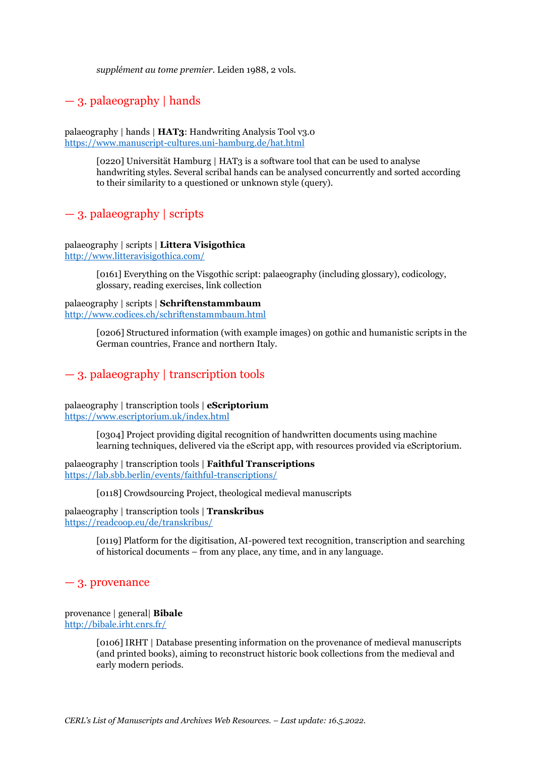*supplément au tome premier*. Leiden 1988, 2 vols.

## — 3. palaeography | hands

palaeography | hands | **HAT3**: Handwriting Analysis Tool v3.0 <https://www.manuscript-cultures.uni-hamburg.de/hat.html>

> [0220] Universität Hamburg | HAT3 is a software tool that can be used to analyse handwriting styles. Several scribal hands can be analysed concurrently and sorted according to their similarity to a questioned or unknown style (query).

## — 3. palaeography | scripts

#### palaeography | scripts | **Littera Visigothica** <http://www.litteravisigothica.com/>

[0161] Everything on the Visgothic script: palaeography (including glossary), codicology, glossary, reading exercises, link collection

palaeography | scripts | **Schriftenstammbaum** <http://www.codices.ch/schriftenstammbaum.html>

> [0206] Structured information (with example images) on gothic and humanistic scripts in the German countries, France and northern Italy.

## — 3. palaeography | transcription tools

palaeography | transcription tools | **eScriptorium** <https://www.escriptorium.uk/index.html>

> [0304] Project providing digital recognition of handwritten documents using machine learning techniques, delivered via the eScript app, with resources provided via eScriptorium.

palaeography | transcription tools | **Faithful Transcriptions** <https://lab.sbb.berlin/events/faithful-transcriptions/>

[0118] Crowdsourcing Project, theological medieval manuscripts

palaeography | transcription tools | **Transkribus** <https://readcoop.eu/de/transkribus/>

> [0119] Platform for the digitisation, AI-powered text recognition, transcription and searching of historical documents – from any place, any time, and in any language.

## — 3. provenance

provenance | general| **Bibale** <http://bibale.irht.cnrs.fr/>

> [0106] IRHT | Database presenting information on the provenance of medieval manuscripts (and printed books), aiming to reconstruct historic book collections from the medieval and early modern periods.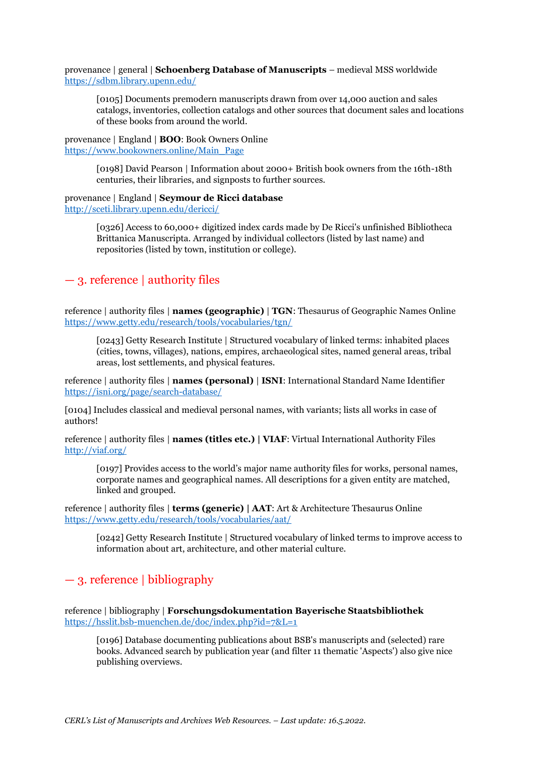provenance | general | **Schoenberg Database of Manuscripts** – medieval MSS worldwide <https://sdbm.library.upenn.edu/>

[0105] Documents premodern manuscripts drawn from over 14,000 auction and sales catalogs, inventories, collection catalogs and other sources that document sales and locations of these books from around the world.

provenance | England | **BOO**: Book Owners Online [https://www.bookowners.online/Main\\_Page](https://www.bookowners.online/Main_Page)

> [0198] David Pearson | Information about 2000+ British book owners from the 16th-18th centuries, their libraries, and signposts to further sources.

#### provenance | England | **Seymour de Ricci database** <http://sceti.library.upenn.edu/dericci/>

[0326] Access to 60,000+ digitized index cards made by De Ricci's unfinished Bibliotheca Brittanica Manuscripta. Arranged by individual collectors (listed by last name) and repositories (listed by town, institution or college).

## — 3. reference | authority files

reference | authority files | **names (geographic)** | **TGN**: Thesaurus of Geographic Names Online <https://www.getty.edu/research/tools/vocabularies/tgn/>

[0243] Getty Research Institute | Structured vocabulary of linked terms: inhabited places (cities, towns, villages), nations, empires, archaeological sites, named general areas, tribal areas, lost settlements, and physical features.

reference | authority files | **names (personal)** | **ISNI**: International Standard Name Identifier <https://isni.org/page/search-database/>

[0104] Includes classical and medieval personal names, with variants; lists all works in case of authors!

reference | authority files | **names (titles etc.) | VIAF**: Virtual International Authority Files <http://viaf.org/>

[0197] Provides access to the world's major name authority files for works, personal names, corporate names and geographical names. All descriptions for a given entity are matched, linked and grouped.

reference | authority files | **terms (generic) | AAT**: Art & Architecture Thesaurus Online <https://www.getty.edu/research/tools/vocabularies/aat/>

[0242] Getty Research Institute | Structured vocabulary of linked terms to improve access to information about art, architecture, and other material culture.

## — 3. reference | bibliography

reference | bibliography | **Forschungsdokumentation Bayerische Staatsbibliothek** <https://hsslit.bsb-muenchen.de/doc/index.php?id=7&L=1>

[0196] Database documenting publications about BSB's manuscripts and (selected) rare books. Advanced search by publication year (and filter 11 thematic 'Aspects') also give nice publishing overviews.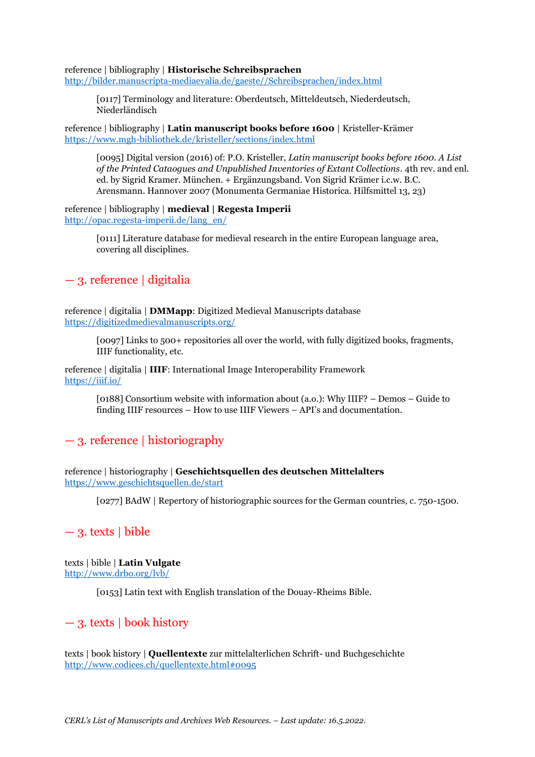reference | bibliography | **Historische Schreibsprachen**

[http://bilder.manuscripta-mediaevalia.de/gaeste//Schreibsprachen/index.html](http://bilder.manuscripta-mediaevalia.de/gaeste/Schreibsprachen/index.html)

[0117] Terminology and literature: Oberdeutsch, Mitteldeutsch, Niederdeutsch, Niederländisch

reference | bibliography | **Latin manuscript books before 1600** | Kristeller-Krämer <https://www.mgh-bibliothek.de/kristeller/sections/index.html>

[0095] Digital version (2016) of: P.O. Kristeller, *Latin manuscript books before 1600. A List of the Printed Cataogues and Unpublished Inventories of Extant Collections*. 4th rev. and enl. ed. by Sigrid Kramer. München. + Ergänzungsband. Von Sigrid Krämer i.c.w. B.C. Arensmann. Hannover 2007 (Monumenta Germaniae Historica. Hilfsmittel 13, 23)

reference | bibliography | **medieval | Regesta Imperii** [http://opac.regesta-imperii.de/lang\\_en/](http://opac.regesta-imperii.de/lang_en/)

> [0111] Literature database for medieval research in the entire European language area, covering all disciplines.

## — 3. reference | digitalia

reference | digitalia | **DMMapp**: Digitized Medieval Manuscripts database <https://digitizedmedievalmanuscripts.org/>

> [0097] Links to 500+ repositories all over the world, with fully digitized books, fragments, IIIF functionality, etc.

reference | digitalia | **IIIF**: International Image Interoperability Framework <https://iiif.io/>

> [0188] Consortium website with information about (a.o.): Why IIIF? – Demos – Guide to finding IIIF resources – How to use IIIF Viewers – API's and documentation.

## — 3. reference | historiography

reference | historiography | **Geschichtsquellen des deutschen Mittelalters** <https://www.geschichtsquellen.de/start>

[0277] BAdW | Repertory of historiographic sources for the German countries, c. 750-1500.

## $-$  3. texts | bible

texts | bible | **Latin Vulgate** <http://www.drbo.org/lvb/>

[0153] Latin text with English translation of the Douay-Rheims Bible.

## — 3. texts | book history

texts | book history | **Quellentexte** zur mittelalterlichen Schrift- und Buchgeschichte <http://www.codices.ch/quellentexte.html#0095>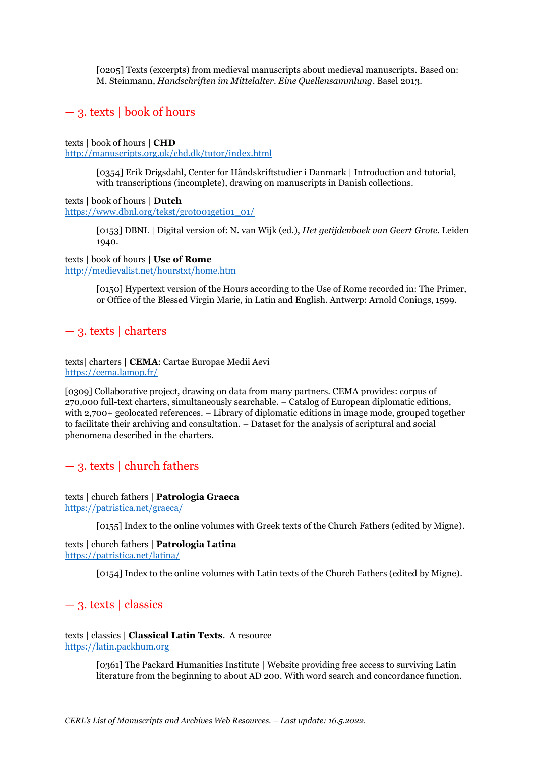[0205] Texts (excerpts) from medieval manuscripts about medieval manuscripts. Based on: M. Steinmann, *Handschriften im Mittelalter. Eine Quellensammlung*. Basel 2013.

## — 3. texts | book of hours

texts | book of hours | **CHD**

<http://manuscripts.org.uk/chd.dk/tutor/index.html>

[0354] Erik Drigsdahl, Center for Håndskriftstudier i Danmark | Introduction and tutorial, with transcriptions (incomplete), drawing on manuscripts in Danish collections.

texts **|** book of hours | **Dutch** [https://www.dbnl.org/tekst/grot001geti01\\_01/](https://www.dbnl.org/tekst/grot001geti01_01/)

> [0153] DBNL | Digital version of: N. van Wijk (ed.), *Het getijdenboek van Geert Grote*. Leiden 1940.

texts | book of hours | **Use of Rome** <http://medievalist.net/hourstxt/home.htm>

> [0150] Hypertext version of the Hours according to the Use of Rome recorded in: The Primer, or Office of the Blessed Virgin Marie, in Latin and English. Antwerp: Arnold Conings, 1599.

## — 3. texts | charters

texts| charters | **CEMA**: Cartae Europae Medii Aevi <https://cema.lamop.fr/>

[0309] Collaborative project, drawing on data from many partners. CEMA provides: corpus of 270,000 full-text charters, simultaneously searchable. – Catalog of European diplomatic editions, with 2,700+ geolocated references. – Library of diplomatic editions in image mode, grouped together to facilitate their archiving and consultation. – Dataset for the analysis of scriptural and social phenomena described in the charters.

## — 3. texts | church fathers

texts | church fathers | **Patrologia Graeca** <https://patristica.net/graeca/>

[0155] Index to the online volumes with Greek texts of the Church Fathers (edited by Migne).

texts | church fathers | **Patrologia Latina** <https://patristica.net/latina/>

[0154] Index to the online volumes with Latin texts of the Church Fathers (edited by Migne).

## — 3. texts | classics

texts | classics | **Classical Latin Texts**. A resource [https://latin.packhum.org](https://latin.packhum.org/)

> [0361] The Packard Humanities Institute | Website providing free access to surviving Latin literature from the beginning to about AD 200. With word search and concordance function.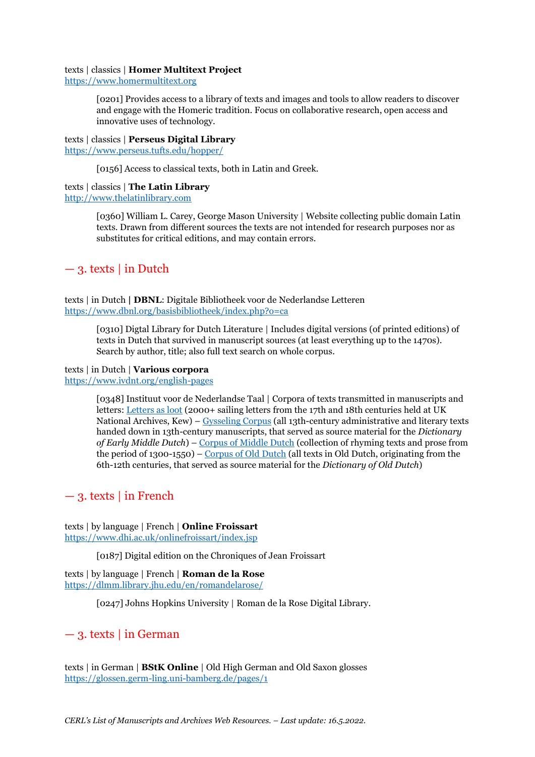### texts | classics | **Homer Multitext Project**

[https://www.homermultitext.org](https://www.homermultitext.org/)

[0201] Provides access to a library of texts and images and tools to allow readers to discover and engage with the Homeric tradition. Focus on collaborative research, open access and innovative uses of technology.

### texts | classics | **Perseus Digital Library**

<https://www.perseus.tufts.edu/hopper/>

[0156] Access to classical texts, both in Latin and Greek.

## texts | classics | **The Latin Library**

[http://www.thelatinlibrary.com](http://www.thelatinlibrary.com/)

[0360] William L. Carey, George Mason University | Website collecting public domain Latin texts. Drawn from different sources the texts are not intended for research purposes nor as substitutes for critical editions, and may contain errors.

## $-$  3. texts  $\vert$  in Dutch

texts | in Dutch **| DBNL**: Digitale Bibliotheek voor de Nederlandse Letteren <https://www.dbnl.org/basisbibliotheek/index.php?o=ca>

> [0310] Digtal Library for Dutch Literature | Includes digital versions (of printed editions) of texts in Dutch that survived in manuscript sources (at least everything up to the 1470s). Search by author, title; also full text search on whole corpus.

### texts | in Dutch | **Various corpora**

<https://www.ivdnt.org/english-pages>

[0348] Instituut voor de Nederlandse Taal | Corpora of texts transmitted in manuscripts and letters: [Letters as loot](https://www.ivdnt.org/corpora-lexica/brieven-als-buit/#letters-as-loot) (2000+ sailing letters from the 17th and 18th centuries held at UK National Archives, Kew) – [Gysseling Corpus](https://www.ivdnt.org/corpora-lexica/corpus-gysseling/#gysseling-corpus) (all 13th-century administrative and literary texts handed down in 13th-century manuscripts, that served as source material for the *Dictionary of Early Middle Dutch*) – [Corpus of Middle Dutch](https://www.ivdnt.org/corpora-lexica/corpus-middelnederlands/#corpus-of-middle-dutch) (collection of rhyming texts and prose from the period of 1300-1550) – [Corpus of Old Dutch](https://www.ivdnt.org/corpora-lexica/corpus-middelnederlands/#corpus-of-middle-dutch) (all texts in Old Dutch, originating from the 6th-12th centuries, that served as source material for the *Dictionary of Old Dutch*)

## $-$  3. texts | in French

texts | by language | French | **Online Froissart** <https://www.dhi.ac.uk/onlinefroissart/index.jsp>

[0187] Digital edition on the Chroniques of Jean Froissart

texts | by language | French | **Roman de la Rose** <https://dlmm.library.jhu.edu/en/romandelarose/>

[0247] Johns Hopkins University | Roman de la Rose Digital Library.

## — 3. texts | in German

texts | in German | **BStK Online** | Old High German and Old Saxon glosses <https://glossen.germ-ling.uni-bamberg.de/pages/1>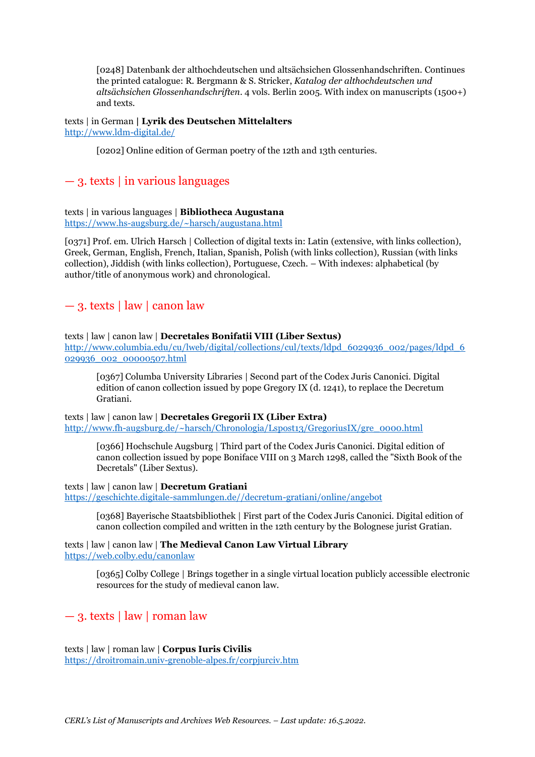[0248] Datenbank der althochdeutschen und altsächsichen Glossenhandschriften. Continues the printed catalogue: R. Bergmann & S. Stricker, *Katalog der althochdeutschen und altsächsichen Glossenhandschriften*. 4 vols. Berlin 2005. With index on manuscripts (1500+) and texts.

texts | in German **| Lyrik des Deutschen Mittelalters** <http://www.ldm-digital.de/>

[0202] Online edition of German poetry of the 12th and 13th centuries.

## $-$  3. texts | in various languages

texts | in various languages | **Bibliotheca Augustana** <https://www.hs-augsburg.de/~harsch/augustana.html>

[0371] Prof. em. Ulrich Harsch | Collection of digital texts in: Latin (extensive, with links collection), Greek, German, English, French, Italian, Spanish, Polish (with links collection), Russian (with links collection), Jiddish (with links collection), Portuguese, Czech. – With indexes: alphabetical (by author/title of anonymous work) and chronological.

## — 3. texts | law | canon law

texts | law | canon law | **Decretales Bonifatii VIII (Liber Sextus)**

[http://www.columbia.edu/cu/lweb/digital/collections/cul/texts/ldpd\\_6029936\\_002/pages/ldpd\\_6](http://www.columbia.edu/cu/lweb/digital/collections/cul/texts/ldpd_6029936_002/pages/ldpd_6029936_002_00000507.html) [029936\\_002\\_00000507.html](http://www.columbia.edu/cu/lweb/digital/collections/cul/texts/ldpd_6029936_002/pages/ldpd_6029936_002_00000507.html)

[0367] Columba University Libraries | Second part of the Codex Juris Canonici. Digital edition of canon collection issued by pope Gregory IX (d. 1241), to replace the Decretum Gratiani.

texts | law | canon law | **Decretales Gregorii IX (Liber Extra)** [http://www.fh-augsburg.de/~harsch/Chronologia/Lspost13/GregoriusIX/gre\\_0000.html](http://www.fh-augsburg.de/~harsch/Chronologia/Lspost13/GregoriusIX/gre_0000.html)

[0366] Hochschule Augsburg | Third part of the Codex Juris Canonici. Digital edition of canon collection issued by pope Boniface VIII on 3 March 1298, called the "Sixth Book of the Decretals" (Liber Sextus).

## texts | law | canon law | **Decretum Gratiani**

[https://geschichte.digitale-sammlungen.de//decretum-gratiani/online/angebot](https://geschichte.digitale-sammlungen.de/decretum-gratiani/online/angebot)

[0368] Bayerische Staatsbibliothek | First part of the Codex Juris Canonici. Digital edition of canon collection compiled and written in the 12th century by the Bolognese jurist Gratian.

texts | law | canon law | **The Medieval Canon Law Virtual Library** <https://web.colby.edu/canonlaw>

> [0365] Colby College | Brings together in a single virtual location publicly accessible electronic resources for the study of medieval canon law.

## $-$  3. texts | law | roman law

texts | law | roman law | **Corpus Iuris Civilis** <https://droitromain.univ-grenoble-alpes.fr/corpjurciv.htm>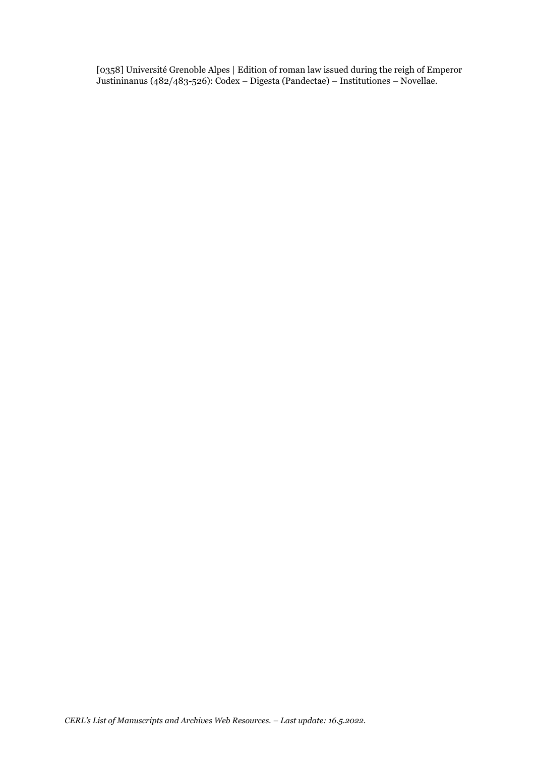[0358] Université Grenoble Alpes | Edition of roman law issued during the reigh of Emperor Justininanus (482/483-526): Codex – Digesta (Pandectae) – Institutiones – Novellae.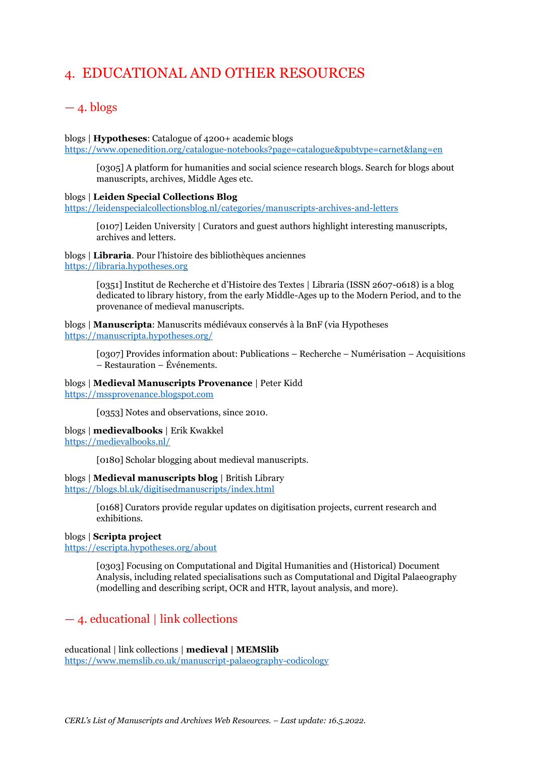## 4. EDUCATIONAL AND OTHER RESOURCES

## $-4.$  blogs

blogs | **Hypotheses**: Catalogue of 4200+ academic blogs

<https://www.openedition.org/catalogue-notebooks?page=catalogue&pubtype=carnet&lang=en>

[0305] A platform for humanities and social science research blogs. Search for blogs about manuscripts, archives, Middle Ages etc.

#### blogs | **Leiden Special Collections Blog**

<https://leidenspecialcollectionsblog.nl/categories/manuscripts-archives-and-letters>

[0107] Leiden University | Curators and guest authors highlight interesting manuscripts, archives and letters.

blogs | **Libraria**. Pour l'histoire des bibliothèques anciennes [https://libraria.hypotheses.org](https://libraria.hypotheses.org/)

> [0351] Institut de Recherche et d'Histoire des Textes | Libraria (ISSN 2607-0618) is a blog dedicated to library history, from the early Middle-Ages up to the Modern Period, and to the provenance of medieval manuscripts.

blogs | **Manuscripta**: Manuscrits médiévaux conservés à la BnF (via Hypotheses <https://manuscripta.hypotheses.org/>

[0307] Provides information about: Publications – Recherche – Numérisation – Acquisitions – Restauration – Événements.

### blogs | **Medieval Manuscripts Provenance** | Peter Kidd

[https://mssprovenance.blogspot.com](https://mssprovenance.blogspot.com/)

[0353] Notes and observations, since 2010.

blogs | **medievalbooks** | Erik Kwakkel <https://medievalbooks.nl/>

[0180] Scholar blogging about medieval manuscripts.

#### blogs | **Medieval manuscripts blog** | British Library

<https://blogs.bl.uk/digitisedmanuscripts/index.html>

[0168] Curators provide regular updates on digitisation projects, current research and exhibitions.

## blogs | **Scripta project**

<https://escripta.hypotheses.org/about>

[0303] Focusing on Computational and Digital Humanities and (Historical) Document Analysis, including related specialisations such as Computational and Digital Palaeography (modelling and describing script, OCR and HTR, layout analysis, and more).

## — 4. educational | link collections

educational | link collections | **medieval | MEMSlib** <https://www.memslib.co.uk/manuscript-palaeography-codicology>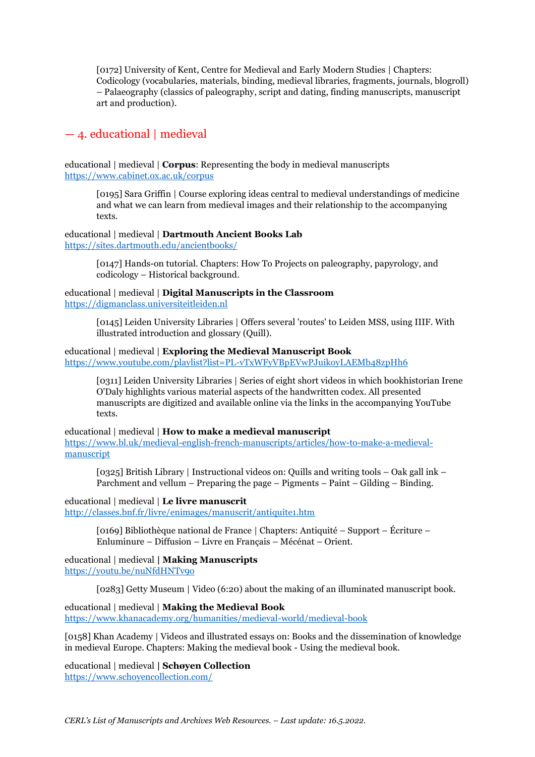[0172] University of Kent, Centre for Medieval and Early Modern Studies | Chapters: Codicology (vocabularies, materials, binding, medieval libraries, fragments, journals, blogroll) – Palaeography (classics of paleography, script and dating, finding manuscripts, manuscript art and production).

## — 4. educational | medieval

educational | medieval | **Corpus**: Representing the body in medieval manuscripts <https://www.cabinet.ox.ac.uk/corpus>

[0195] Sara Griffin | Course exploring ideas central to medieval understandings of medicine and what we can learn from medieval images and their relationship to the accompanying texts.

### educational | medieval | **Dartmouth Ancient Books Lab** <https://sites.dartmouth.edu/ancientbooks/>

[0147] Hands-on tutorial. Chapters: How To Projects on paleography, papyrology, and codicology – Historical background.

## educational | medieval | **Digital Manuscripts in the Classroom** [https://digmanclass.universiteitleiden.nl](https://digmanclass.universiteitleiden.nl/)

[0145] Leiden University Libraries | Offers several 'routes' to Leiden MSS, using IIIF. With illustrated introduction and glossary (Quill).

## educational | medieval | **Exploring the Medieval Manuscript Book** <https://www.youtube.com/playlist?list=PL-vTxWFyVBpEVwPJuikoyLAEMb48zpHh6>

[0311] Leiden University Libraries | Series of eight short videos in which bookhistorian Irene O'Daly highlights various material aspects of the handwritten codex. All presented manuscripts are digitized and available online via the links in the accompanying YouTube texts.

educational | medieval | **How to make a medieval manuscript** [https://www.bl.uk/medieval-english-french-manuscripts/articles/how-to-make-a-medieval](https://www.bl.uk/medieval-english-french-manuscripts/articles/how-to-make-a-medieval-manuscript)[manuscript](https://www.bl.uk/medieval-english-french-manuscripts/articles/how-to-make-a-medieval-manuscript)

[0325] British Library | Instructional videos on: Quills and writing tools – Oak gall ink – Parchment and vellum – Preparing the page – Pigments – Paint – Gilding – Binding.

## educational | medieval | **Le livre manuscrit**

<http://classes.bnf.fr/livre/enimages/manuscrit/antiquite1.htm>

[0169] Bibliothèque national de France | Chapters: Antiquité – Support – Écriture – Enluminure – Diffusion – Livre en Français – Mécénat – Orient.

educational | medieval **| Making Manuscripts** <https://youtu.be/nuNfdHNTv9o>

[0283] Getty Museum | Video (6:20) about the making of an illuminated manuscript book.

educational | medieval | **Making the Medieval Book** <https://www.khanacademy.org/humanities/medieval-world/medieval-book>

[0158] Khan Academy | Videos and illustrated essays on: Books and the dissemination of knowledge in medieval Europe. Chapters: Making the medieval book - Using the medieval book.

educational | medieval **| Schøyen Collection** <https://www.schoyencollection.com/>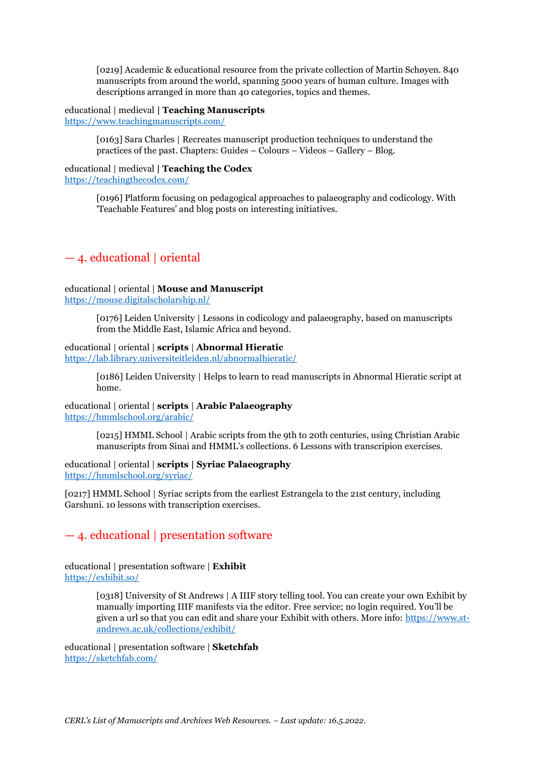[0219] Academic & educational resource from the private collection of Martin Schøyen. 840 manuscripts from around the world, spanning 5000 years of human culture. Images with descriptions arranged in more than 40 categories, topics and themes.

educational | medieval **| Teaching Manuscripts** <https://www.teachingmanuscripts.com/>

> [0163] Sara Charles | Recreates manuscript production techniques to understand the practices of the past. Chapters: Guides – Colours – Videos – Gallery – Blog.

#### educational | medieval **| Teaching the Codex** <https://teachingthecodex.com/>

[0196] Platform focusing on pedagogical approaches to palaeography and codicology. With 'Teachable Features' and blog posts on interesting initiatives.

## — 4. educational | oriental

## educational | oriental | **Mouse and Manuscript**

<https://mouse.digitalscholarship.nl/>

[0176] Leiden University | Lessons in codicology and palaeography, based on manuscripts from the Middle East, Islamic Africa and beyond.

## educational | oriental | **scripts** | **Abnormal Hieratic**

<https://lab.library.universiteitleiden.nl/abnormalhieratic/>

[0186] Leiden University | Helps to learn to read manuscripts in Abnormal Hieratic script at home.

educational | oriental | **scripts** | **Arabic Palaeography** <https://hmmlschool.org/arabic/>

> [0215] HMML School | Arabic scripts from the 9th to 20th centuries, using Christian Arabic manuscripts from Sinai and HMML's collections. 6 Lessons with transcripion exercises.

educational | oriental | **scripts | Syriac Palaeography** <https://hmmlschool.org/syriac/>

[0217] HMML School | Syriac scripts from the earliest Estrangela to the 21st century, including Garshuni. 10 lessons with transcription exercises.

## — 4. educational | presentation software

educational | presentation software | **Exhibit** https://exhibit.so/

> [0318] University of St Andrews | A IIIF story telling tool. You can create your own Exhibit by manually importing IIIF manifests via the editor. Free service; no login required. You'll be given a url so that you can edit and share your Exhibit with others. More info: [https://www.st](https://www.st-andrews.ac.uk/collections/exhibit/)[andrews.ac.uk/collections/exhibit/](https://www.st-andrews.ac.uk/collections/exhibit/)

educational | presentation software | **Sketchfab** <https://sketchfab.com/>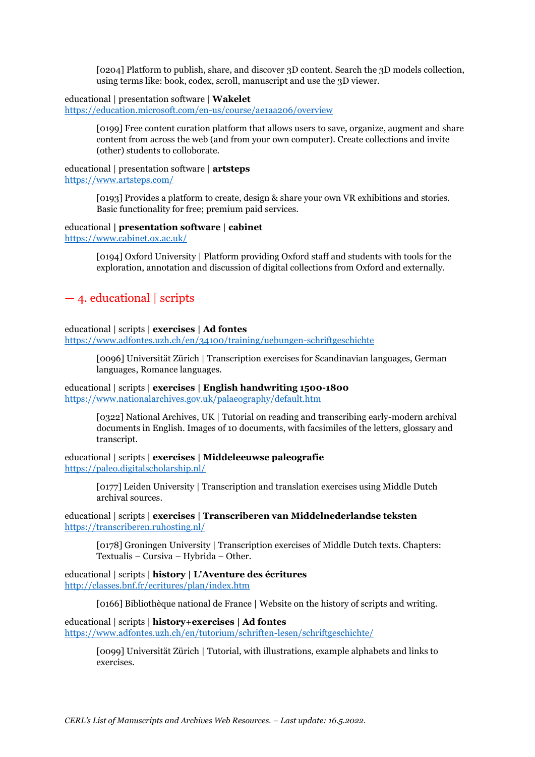[0204] Platform to publish, share, and discover 3D content. Search the 3D models collection, using terms like: book, codex, scroll, manuscript and use the 3D viewer.

#### educational | presentation software | **Wakelet**

<https://education.microsoft.com/en-us/course/ae1aa206/overview>

[0199] Free content curation platform that allows users to save, organize, augment and share content from across the web (and from your own computer). Create collections and invite (other) students to colloborate.

#### educational | presentation software | **artsteps** <https://www.artsteps.com/>

[0193] Provides a platform to create, design & share your own VR exhibitions and stories. Basic functionality for free; premium paid services.

#### educational **| presentation software** | **cabinet**

<https://www.cabinet.ox.ac.uk/>

[0194] Oxford University | Platform providing Oxford staff and students with tools for the exploration, annotation and discussion of digital collections from Oxford and externally.

## — 4. educational | scripts

#### educational | scripts | **exercises | Ad fontes**

<https://www.adfontes.uzh.ch/en/34100/training/uebungen-schriftgeschichte>

[0096] Universität Zürich | Transcription exercises for Scandinavian languages, German languages, Romance languages.

### educational | scripts | **exercises | English handwriting 1500-1800** <https://www.nationalarchives.gov.uk/palaeography/default.htm>

[0322] National Archives, UK | Tutorial on reading and transcribing early-modern archival documents in English. Images of 10 documents, with facsimiles of the letters, glossary and transcript.

### educational | scripts | **exercises | Middeleeuwse paleografie** <https://paleo.digitalscholarship.nl/>

[0177] Leiden University | Transcription and translation exercises using Middle Dutch archival sources.

### educational | scripts | **exercises | Transcriberen van Middelnederlandse teksten** <https://transcriberen.ruhosting.nl/>

[0178] Groningen University | Transcription exercises of Middle Dutch texts. Chapters: Textualis – Cursiva – Hybrida – Other.

educational | scripts | **history | L'Aventure des écritures** <http://classes.bnf.fr/ecritures/plan/index.htm>

[0166] Bibliothèque national de France | Website on the history of scripts and writing.

## educational | scripts | **history+exercises | Ad fontes** <https://www.adfontes.uzh.ch/en/tutorium/schriften-lesen/schriftgeschichte/>

[0099] Universität Zürich | Tutorial, with illustrations, example alphabets and links to exercises.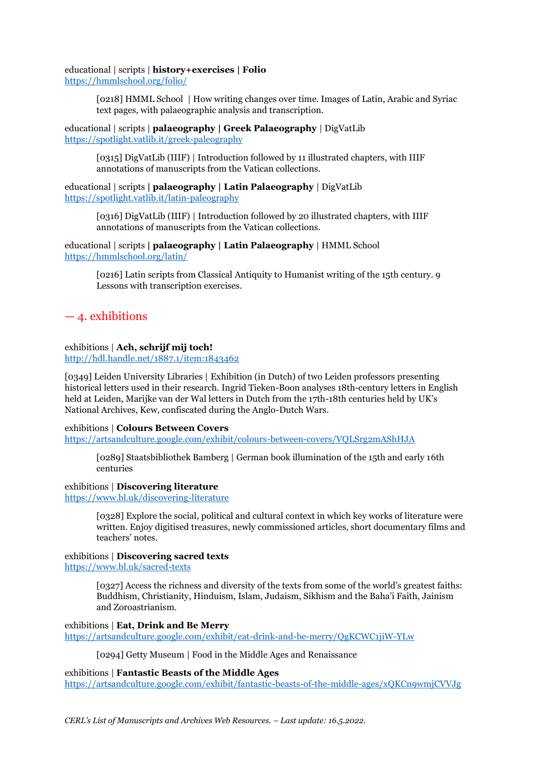educational | scripts | **history+exercises | Folio**

<https://hmmlschool.org/folio/>

[0218] HMML School | How writing changes over time. Images of Latin, Arabic and Syriac text pages, with palaeographic analysis and transcription.

educational | scripts | **palaeography | Greek Palaeography** | DigVatLib <https://spotlight.vatlib.it/greek-paleography>

> [0315] DigVatLib (IIIF) | Introduction followed by 11 illustrated chapters, with IIIF annotations of manuscripts from the Vatican collections.

educational | scripts **| palaeography | Latin Palaeography** | DigVatLib <https://spotlight.vatlib.it/latin-paleography>

> [0316] DigVatLib (IIIF) | Introduction followed by 20 illustrated chapters, with IIIF annotations of manuscripts from the Vatican collections.

educational | scripts **| palaeography | Latin Palaeography** | HMML School <https://hmmlschool.org/latin/>

> [0216] Latin scripts from Classical Antiquity to Humanist writing of the 15th century. 9 Lessons with transcription exercises.

## — 4. exhibitions

## exhibitions | **Ach, schrijf mij toch!**

<http://hdl.handle.net/1887.1/item:1843462>

[0349] Leiden University Libraries | Exhibition (in Dutch) of two Leiden professors presenting historical letters used in their research. Ingrid Tieken-Boon analyses 18th-century letters in English held at Leiden, Marijke van der Wal letters in Dutch from the 17th-18th centuries held by UK's National Archives, Kew, confiscated during the Anglo-Dutch Wars.

## exhibitions | **Colours Between Covers**

<https://artsandculture.google.com/exhibit/colours-between-covers/VQLSrg2mAShHJA>

[0289] Staatsbibliothek Bamberg | German book illumination of the 15th and early 16th centuries

## exhibitions | **Discovering literature**

<https://www.bl.uk/discovering-literature>

[0328] Explore the social, political and cultural context in which key works of literature were written. Enjoy digitised treasures, newly commissioned articles, short documentary films and teachers' notes.

## exhibitions | **Discovering sacred texts**

<https://www.bl.uk/sacred-texts>

[0327] Access the richness and diversity of the texts from some of the world's greatest faiths: Buddhism, Christianity, Hinduism, Islam, Judaism, Sikhism and the Baha'i Faith, Jainism and Zoroastrianism.

exhibitions | **Eat, Drink and Be Merry** <https://artsandculture.google.com/exhibit/eat-drink-and-be-merry/QgKCWC1jiW-YLw>

[0294] Getty Museum | Food in the Middle Ages and Renaissance

## exhibitions | **Fantastic Beasts of the Middle Ages**

<https://artsandculture.google.com/exhibit/fantastic-beasts-of-the-middle-ages/xQKCn9wmjCVVJg>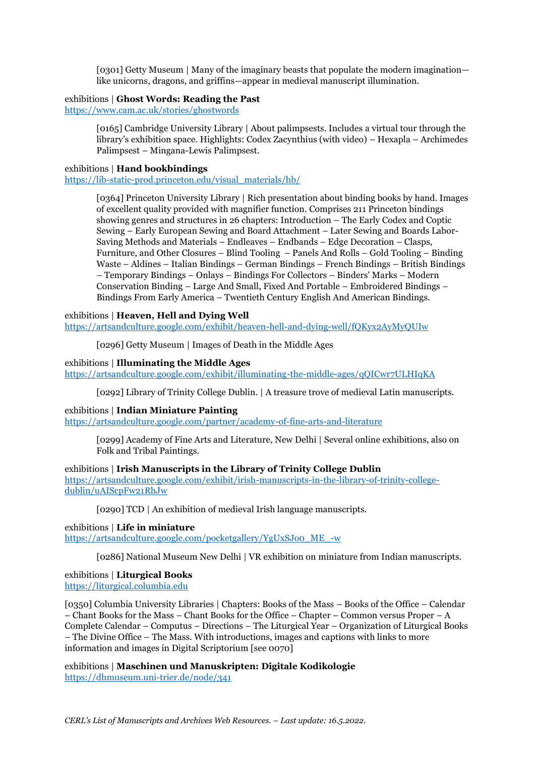[0301] Getty Museum | Many of the imaginary beasts that populate the modern imagination like unicorns, dragons, and griffins—appear in medieval manuscript illumination.

#### exhibitions | **Ghost Words: Reading the Past**

<https://www.cam.ac.uk/stories/ghostwords>

[0165] Cambridge University Library | About palimpsests. Includes a virtual tour through the library's exhibition space. Highlights: Codex Zacynthius (with video) – Hexapla – Archimedes Palimpsest – Mingana-Lewis Palimpsest.

### exhibitions | **Hand bookbindings**

[https://lib-static-prod.princeton.edu/visual\\_materials/hb/](https://lib-static-prod.princeton.edu/visual_materials/hb/)

[0364] Princeton University Library | Rich presentation about binding books by hand. Images of excellent quality provided with magnifier function. Comprises 211 Princeton bindings showing genres and structures in 26 chapters: Introduction – The Early Codex and Coptic Sewing – Early European Sewing and Board Attachment – Later Sewing and Boards Labor-Saving Methods and Materials – Endleaves – Endbands – Edge Decoration – Clasps, Furniture, and Other Closures – Blind Tooling – Panels And Rolls – Gold Tooling – Binding Waste – Aldines – Italian Bindings – German Bindings – French Bindings – British Bindings – Temporary Bindings – Onlays – Bindings For Collectors – Binders' Marks – Modern Conservation Binding – Large And Small, Fixed And Portable – Embroidered Bindings – Bindings From Early America – Twentieth Century English And American Bindings.

## exhibitions | **Heaven, Hell and Dying Well**

<https://artsandculture.google.com/exhibit/heaven-hell-and-dying-well/fQKyx2AyMyQUIw>

[0296] Getty Museum | Images of Death in the Middle Ages

#### exhibitions | **Illuminating the Middle Ages**

<https://artsandculture.google.com/exhibit/illuminating-the-middle-ages/qQICwr7ULHIqKA>

[0292] Library of Trinity College Dublin. | A treasure trove of medieval Latin manuscripts.

### exhibitions | **Indian Miniature Painting**

<https://artsandculture.google.com/partner/academy-of-fine-arts-and-literature>

[0299] Academy of Fine Arts and Literature, New Delhi | Several online exhibitions, also on Folk and Tribal Paintings.

exhibitions | **Irish Manuscripts in the Library of Trinity College Dublin** [https://artsandculture.google.com/exhibit/irish-manuscripts-in-the-library-of-trinity-college](https://artsandculture.google.com/exhibit/irish-manuscripts-in-the-library-of-trinity-college-dublin/uAIScpFw21RhJw)[dublin/uAIScpFw21RhJw](https://artsandculture.google.com/exhibit/irish-manuscripts-in-the-library-of-trinity-college-dublin/uAIScpFw21RhJw)

[0290] TCD | An exhibition of medieval Irish language manuscripts.

exhibitions | **Life in miniature**

[https://artsandculture.google.com/pocketgallery/YgUxSJo0\\_ME\\_-w](https://artsandculture.google.com/pocketgallery/YgUxSJo0_ME_-w)

[0286] National Museum New Delhi | VR exhibition on miniature from Indian manuscripts.

## exhibitions | **Liturgical Books**

[https://liturgical.columbia.edu](https://liturgical.columbia.edu/)

[0350] Columbia University Libraries | Chapters: Books of the Mass – Books of the Office – Calendar – Chant Books for the Mass – Chant Books for the Office – Chapter – Common versus Proper – A Complete Calendar – Computus – Directions – The Liturgical Year – Organization of Liturgical Books – The Divine Office – The Mass. With introductions, images and captions with links to more information and images in Digital Scriptorium [see 0070]

exhibitions | **Maschinen und Manuskripten: Digitale Kodikologie** <https://dhmuseum.uni-trier.de/node/341>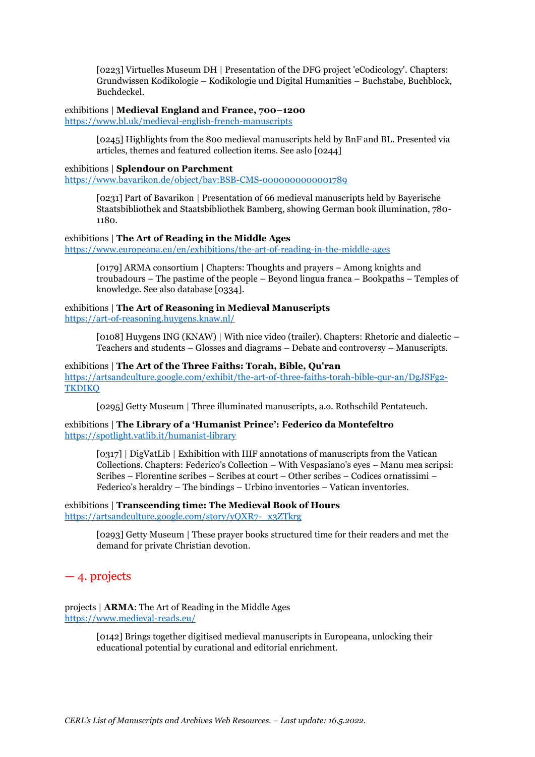[0223] Virtuelles Museum DH | Presentation of the DFG project 'eCodicology'. Chapters: Grundwissen Kodikologie – Kodikologie und Digital Humanities – Buchstabe, Buchblock, Buchdeckel.

## exhibitions | **Medieval England and France, 700–1200**

<https://www.bl.uk/medieval-english-french-manuscripts>

[0245] Highlights from the 800 medieval manuscripts held by BnF and BL. Presented via articles, themes and featured collection items. See aslo [0244]

#### exhibitions | **Splendour on Parchment**

<https://www.bavarikon.de/object/bav:BSB-CMS-0000000000001789>

[0231] Part of Bavarikon | Presentation of 66 medieval manuscripts held by Bayerische Staatsbibliothek and Staatsbibliothek Bamberg, showing German book illumination, 780- 1180.

#### exhibitions | **The Art of Reading in the Middle Ages** <https://www.europeana.eu/en/exhibitions/the-art-of-reading-in-the-middle-ages>

[0179] ARMA consortium | Chapters: Thoughts and prayers – Among knights and troubadours – The pastime of the people – Beyond lingua franca – Bookpaths – Temples of knowledge. See also database [0334].

### exhibitions | **The Art of Reasoning in Medieval Manuscripts** <https://art-of-reasoning.huygens.knaw.nl/>

[0108] Huygens ING (KNAW) | With nice video (trailer). Chapters: Rhetoric and dialectic – Teachers and students – Glosses and diagrams – Debate and controversy – Manuscripts.

### exhibitions | **The Art of the Three Faiths: Torah, Bible, Qu'ran** [https://artsandculture.google.com/exhibit/the-art-of-three-faiths-torah-bible-qur-an/DgJSFg2-](https://artsandculture.google.com/exhibit/the-art-of-three-faiths-torah-bible-qur-an/DgJSFg2-TKDIKQ) **[TKDIKQ](https://artsandculture.google.com/exhibit/the-art-of-three-faiths-torah-bible-qur-an/DgJSFg2-TKDIKQ)**

[0295] Getty Museum | Three illuminated manuscripts, a.o. Rothschild Pentateuch.

### exhibitions | **The Library of a 'Humanist Prince': Federico da Montefeltro** <https://spotlight.vatlib.it/humanist-library>

[0317] | DigVatLib | Exhibition with IIIF annotations of manuscripts from the Vatican Collections. Chapters: Federico's Collection – With Vespasiano's eyes – Manu mea scripsi: Scribes – Florentine scribes – Scribes at court – Other scribes – Codices ornatissimi – Federico's heraldry – The bindings – Urbino inventories – Vatican inventories.

exhibitions | **Transcending time: The Medieval Book of Hours** [https://artsandculture.google.com/story/yQXR7-\\_x3ZTkrg](https://artsandculture.google.com/story/yQXR7-_x3ZTkrg)

> [0293] Getty Museum | These prayer books structured time for their readers and met the demand for private Christian devotion.

## — 4. projects

projects | **ARMA**: The Art of Reading in the Middle Ages <https://www.medieval-reads.eu/>

> [0142] Brings together digitised medieval manuscripts in Europeana, unlocking their educational potential by curational and editorial enrichment.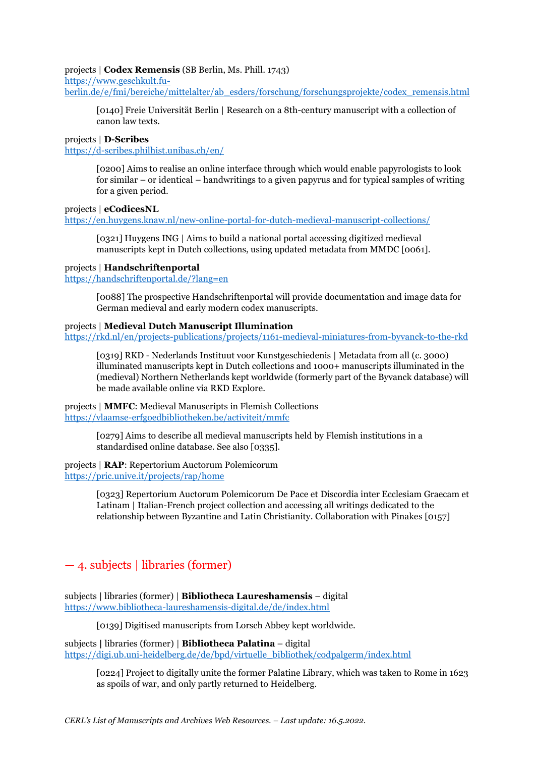#### projects | **Codex Remensis** (SB Berlin, Ms. Phill. 1743)

[https://www.geschkult.fu-](https://www.geschkult.fu-berlin.de/e/fmi/bereiche/mittelalter/ab_esders/forschung/forschungsprojekte/codex_remensis.html)

[berlin.de/e/fmi/bereiche/mittelalter/ab\\_esders/forschung/forschungsprojekte/codex\\_remensis.html](https://www.geschkult.fu-berlin.de/e/fmi/bereiche/mittelalter/ab_esders/forschung/forschungsprojekte/codex_remensis.html)

[0140] Freie Universität Berlin | Research on a 8th-century manuscript with a collection of canon law texts.

#### projects | **D-Scribes**

<https://d-scribes.philhist.unibas.ch/en/>

[0200] Aims to realise an online interface through which would enable papyrologists to look for similar – or identical – handwritings to a given papyrus and for typical samples of writing for a given period.

projects | **eCodicesNL**

<https://en.huygens.knaw.nl/new-online-portal-for-dutch-medieval-manuscript-collections/>

[0321] Huygens ING | Aims to build a national portal accessing digitized medieval manuscripts kept in Dutch collections, using updated metadata from MMDC [0061].

#### projects | **Handschriftenportal**

<https://handschriftenportal.de/?lang=en>

[0088] The prospective Handschriftenportal will provide documentation and image data for German medieval and early modern codex manuscripts.

### projects | **Medieval Dutch Manuscript Illumination**

<https://rkd.nl/en/projects-publications/projects/1161-medieval-miniatures-from-byvanck-to-the-rkd>

[0319] RKD - Nederlands Instituut voor Kunstgeschiedenis | Metadata from all (c. 3000) illuminated manuscripts kept in Dutch collections and 1000+ manuscripts illuminated in the (medieval) Northern Netherlands kept worldwide (formerly part of the Byvanck database) will be made available online via RKD Explore.

projects | **MMFC**: Medieval Manuscripts in Flemish Collections <https://vlaamse-erfgoedbibliotheken.be/activiteit/mmfc>

> [0279] Aims to describe all medieval manuscripts held by Flemish institutions in a standardised online database. See also [0335].

### projects | **RAP**: Repertorium Auctorum Polemicorum <https://pric.unive.it/projects/rap/home>

[0323] Repertorium Auctorum Polemicorum De Pace et Discordia inter Ecclesiam Graecam et Latinam | Italian-French project collection and accessing all writings dedicated to the relationship between Byzantine and Latin Christianity. Collaboration with Pinakes [0157]

## — 4. subjects | libraries (former)

subjects | libraries (former) | **Bibliotheca Laureshamensis** – digital <https://www.bibliotheca-laureshamensis-digital.de/de/index.html>

[0139] Digitised manuscripts from Lorsch Abbey kept worldwide.

subjects **|** libraries (former) | **Bibliotheca Palatina** – digital [https://digi.ub.uni-heidelberg.de/de/bpd/virtuelle\\_bibliothek/codpalgerm/index.html](https://digi.ub.uni-heidelberg.de/de/bpd/virtuelle_bibliothek/codpalgerm/index.html)

[0224] Project to digitally unite the former Palatine Library, which was taken to Rome in 1623 as spoils of war, and only partly returned to Heidelberg.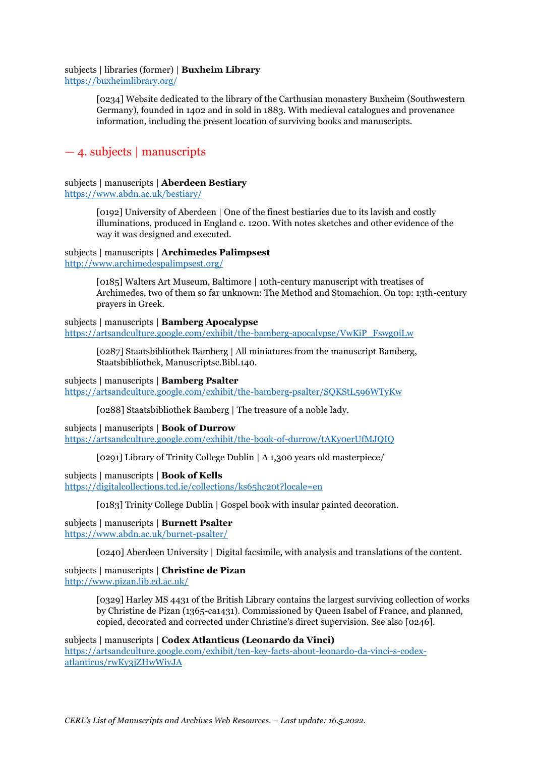#### subjects | libraries (former) | **Buxheim Library** <https://buxheimlibrary.org/>

[0234] Website dedicated to the library of the Carthusian monastery Buxheim (Southwestern Germany), founded in 1402 and in sold in 1883. With medieval catalogues and provenance information, including the present location of surviving books and manuscripts.

## — 4. subjects | manuscripts

## subjects | manuscripts | **Aberdeen Bestiary**

<https://www.abdn.ac.uk/bestiary/>

[0192] University of Aberdeen | One of the finest bestiaries due to its lavish and costly illuminations, produced in England c. 1200. With notes sketches and other evidence of the way it was designed and executed.

## subjects | manuscripts | **Archimedes Palimpsest**

<http://www.archimedespalimpsest.org/>

[0185] Walters Art Museum, Baltimore | 10th-century manuscript with treatises of Archimedes, two of them so far unknown: The Method and Stomachion. On top: 13th-century prayers in Greek.

subjects | manuscripts | **Bamberg Apocalypse** [https://artsandculture.google.com/exhibit/the-bamberg-apocalypse/VwKiP\\_Fswg0iLw](https://artsandculture.google.com/exhibit/the-bamberg-apocalypse/VwKiP_Fswg0iLw)

[0287] Staatsbibliothek Bamberg | All miniatures from the manuscript Bamberg, Staatsbibliothek, Manuscriptsc.Bibl.140.

subjects | manuscripts | **Bamberg Psalter** <https://artsandculture.google.com/exhibit/the-bamberg-psalter/SQKStL596WTyKw>

[0288] Staatsbibliothek Bamberg | The treasure of a noble lady.

subjects | manuscripts | **Book of Durrow** <https://artsandculture.google.com/exhibit/the-book-of-durrow/tAKy0erUfMJQIQ>

[0291] Library of Trinity College Dublin | A 1,300 years old masterpiece/

subjects | manuscripts | **Book of Kells** <https://digitalcollections.tcd.ie/collections/ks65hc20t?locale=en>

[0183] Trinity College Dublin | Gospel book with insular painted decoration.

subjects | manuscripts | **Burnett Psalter** <https://www.abdn.ac.uk/burnet-psalter/>

[0240] Aberdeen University | Digital facsimile, with analysis and translations of the content.

subjects | manuscripts | **Christine de Pizan** <http://www.pizan.lib.ed.ac.uk/>

> [0329] Harley MS 4431 of the British Library contains the largest surviving collection of works by Christine de Pizan (1365-ca1431). Commissioned by Queen Isabel of France, and planned, copied, decorated and corrected under Christine's direct supervision. See also [0246].

subjects | manuscripts | **Codex Atlanticus (Leonardo da Vinci)** [https://artsandculture.google.com/exhibit/ten-key-facts-about-leonardo-da-vinci-s-codex](https://artsandculture.google.com/exhibit/ten-key-facts-about-leonardo-da-vinci-s-codex-atlanticus/rwKy3jZHwWiyJA)[atlanticus/rwKy3jZHwWiyJA](https://artsandculture.google.com/exhibit/ten-key-facts-about-leonardo-da-vinci-s-codex-atlanticus/rwKy3jZHwWiyJA)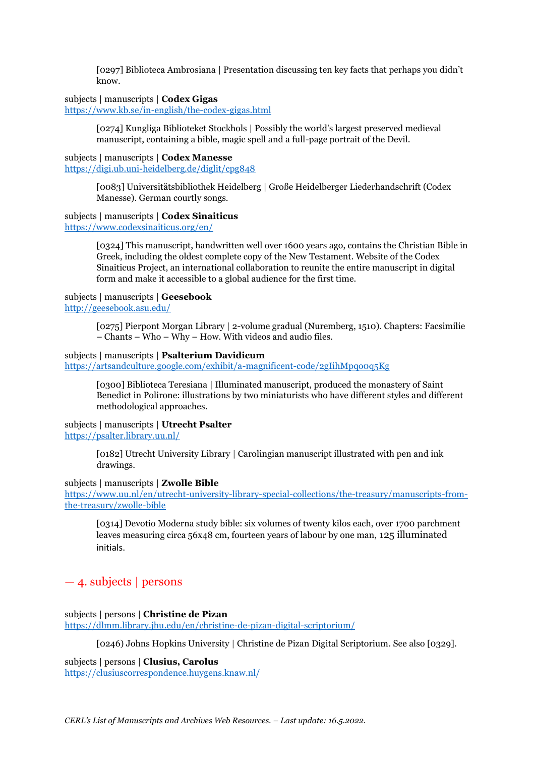[0297] Biblioteca Ambrosiana | Presentation discussing ten key facts that perhaps you didn't know.

subjects | manuscripts | **Codex Gigas**

<https://www.kb.se/in-english/the-codex-gigas.html>

[0274] Kungliga Biblioteket Stockhols | Possibly the world's largest preserved medieval manuscript, containing a bible, magic spell and a full-page portrait of the Devil.

subjects | manuscripts | **Codex Manesse** <https://digi.ub.uni-heidelberg.de/diglit/cpg848>

> [0083] Universitätsbibliothek Heidelberg | Große Heidelberger Liederhandschrift (Codex Manesse). German courtly songs.

subjects | manuscripts | **Codex Sinaiticus**

<https://www.codexsinaiticus.org/en/>

[0324] This manuscript, handwritten well over 1600 years ago, contains the Christian Bible in Greek, including the oldest complete copy of the New Testament. Website of the Codex Sinaiticus Project, an international collaboration to reunite the entire manuscript in digital form and make it accessible to a global audience for the first time.

subjects | manuscripts | **Geesebook** <http://geesebook.asu.edu/>

> [0275] Pierpont Morgan Library | 2-volume gradual (Nuremberg, 1510). Chapters: Facsimilie – Chants – Who – Why – How. With videos and audio files.

### subjects | manuscripts | **Psalterium Davidicum**

<https://artsandculture.google.com/exhibit/a-magnificent-code/2gIihMpqo0q5Kg>

[0300] Biblioteca Teresiana | Illuminated manuscript, produced the monastery of Saint Benedict in Polirone: illustrations by two miniaturists who have different styles and different methodological approaches.

subjects | manuscripts | **Utrecht Psalter** <https://psalter.library.uu.nl/>

> [0182] Utrecht University Library | Carolingian manuscript illustrated with pen and ink drawings.

subjects | manuscripts | **Zwolle Bible**

[https://www.uu.nl/en/utrecht-university-library-special-collections/the-treasury/manuscripts-from](https://www.uu.nl/en/utrecht-university-library-special-collections/the-treasury/manuscripts-from-the-treasury/zwolle-bible)[the-treasury/zwolle-bible](https://www.uu.nl/en/utrecht-university-library-special-collections/the-treasury/manuscripts-from-the-treasury/zwolle-bible)

[0314] Devotio Moderna study bible: six volumes of twenty kilos each, over 1700 parchment leaves measuring circa 56x48 cm, fourteen years of labour by one man, 125 illuminated initials.

## — 4. subjects | persons

subjects | persons | **Christine de Pizan** <https://dlmm.library.jhu.edu/en/christine-de-pizan-digital-scriptorium/>

[0246) Johns Hopkins University | Christine de Pizan Digital Scriptorium. See also [0329].

subjects | persons | **Clusius, Carolus** <https://clusiuscorrespondence.huygens.knaw.nl/>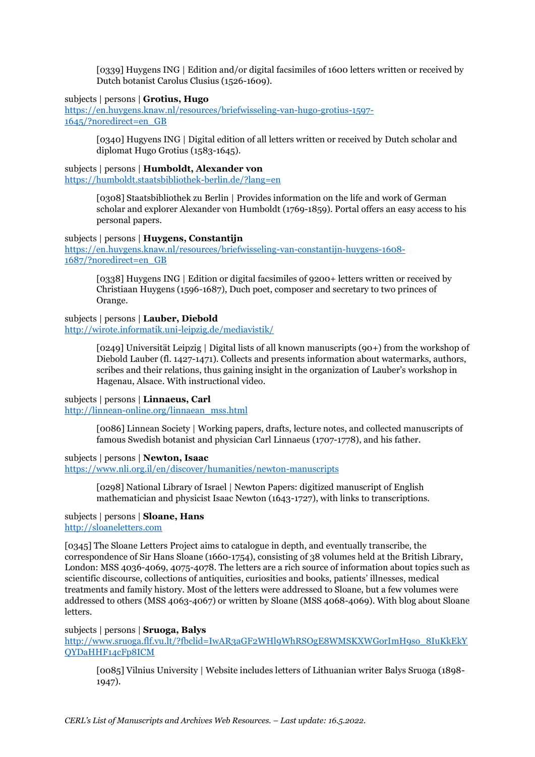[0339] Huygens ING | Edition and/or digital facsimiles of 1600 letters written or received by Dutch botanist Carolus Clusius (1526-1609).

### subjects | persons | **Grotius, Hugo**

[https://en.huygens.knaw.nl/resources/briefwisseling-van-hugo-grotius-1597-](https://en.huygens.knaw.nl/resources/briefwisseling-van-hugo-grotius-1597-1645/?noredirect=en_GB) [1645/?noredirect=en\\_GB](https://en.huygens.knaw.nl/resources/briefwisseling-van-hugo-grotius-1597-1645/?noredirect=en_GB)

> [0340] Hugyens ING | Digital edition of all letters written or received by Dutch scholar and diplomat Hugo Grotius (1583-1645).

#### subjects | persons | **Humboldt, Alexander von**

<https://humboldt.staatsbibliothek-berlin.de/?lang=en>

[0308] Staatsbibliothek zu Berlin | Provides information on the life and work of German scholar and explorer Alexander von Humboldt (1769-1859). Portal offers an easy access to his personal papers.

#### subjects | persons | **Huygens, Constantijn**

[https://en.huygens.knaw.nl/resources/briefwisseling-van-constantijn-huygens-1608-](https://en.huygens.knaw.nl/resources/briefwisseling-van-constantijn-huygens-1608-1687/?noredirect=en_GB) [1687/?noredirect=en\\_GB](https://en.huygens.knaw.nl/resources/briefwisseling-van-constantijn-huygens-1608-1687/?noredirect=en_GB)

[0338] Huygens ING | Edition or digital facsimiles of 9200+ letters written or received by Christiaan Huygens (1596-1687), Duch poet, composer and secretary to two princes of Orange.

### subjects | persons | **Lauber, Diebold**

<http://wirote.informatik.uni-leipzig.de/mediavistik/>

[0249] Universität Leipzig | Digital lists of all known manuscripts (90+) from the workshop of Diebold Lauber (fl. 1427-1471). Collects and presents information about watermarks, authors, scribes and their relations, thus gaining insight in the organization of Lauber's workshop in Hagenau, Alsace. With instructional video.

#### subjects | persons | **Linnaeus, Carl**

[http://linnean-online.org/linnaean\\_mss.html](http://linnean-online.org/linnaean_mss.html)

[0086] Linnean Society | Working papers, drafts, lecture notes, and collected manuscripts of famous Swedish botanist and physician Carl Linnaeus (1707-1778), and his father.

#### subjects | persons | **Newton, Isaac**

<https://www.nli.org.il/en/discover/humanities/newton-manuscripts>

[0298] National Library of Israel | Newton Papers: digitized manuscript of English mathematician and physicist Isaac Newton (1643-1727), with links to transcriptions.

#### subjects | persons | **Sloane, Hans** [http://sloaneletters.com](http://sloaneletters.com/)

[0345] The Sloane Letters Project aims to catalogue in depth, and eventually transcribe, the correspondence of Sir Hans Sloane (1660-1754), consisting of 38 volumes held at the British Library, London: MSS 4036-4069, 4075-4078. The letters are a rich source of information about topics such as scientific discourse, collections of antiquities, curiosities and books, patients' illnesses, medical treatments and family history. Most of the letters were addressed to Sloane, but a few volumes were addressed to others (MSS 4063-4067) or written by Sloane (MSS 4068-4069). With blog about Sloane letters.

#### subjects | persons | **Sruoga, Balys**

[http://www.sruoga.flf.vu.lt/?fbclid=IwAR3aGF2WHl9WhRSOgE8WMSKXWGorImH9so\\_8IuKkEkY](http://www.sruoga.flf.vu.lt/?fbclid=IwAR3aGF2WHl9WhRSOgE8WMSKXWGorImH9so_8IuKkEkYQYDaHHF14cFp8ICM) [QYDaHHF14cFp8ICM](http://www.sruoga.flf.vu.lt/?fbclid=IwAR3aGF2WHl9WhRSOgE8WMSKXWGorImH9so_8IuKkEkYQYDaHHF14cFp8ICM)

[0085] Vilnius University | Website includes letters of Lithuanian writer Balys Sruoga (1898- 1947).